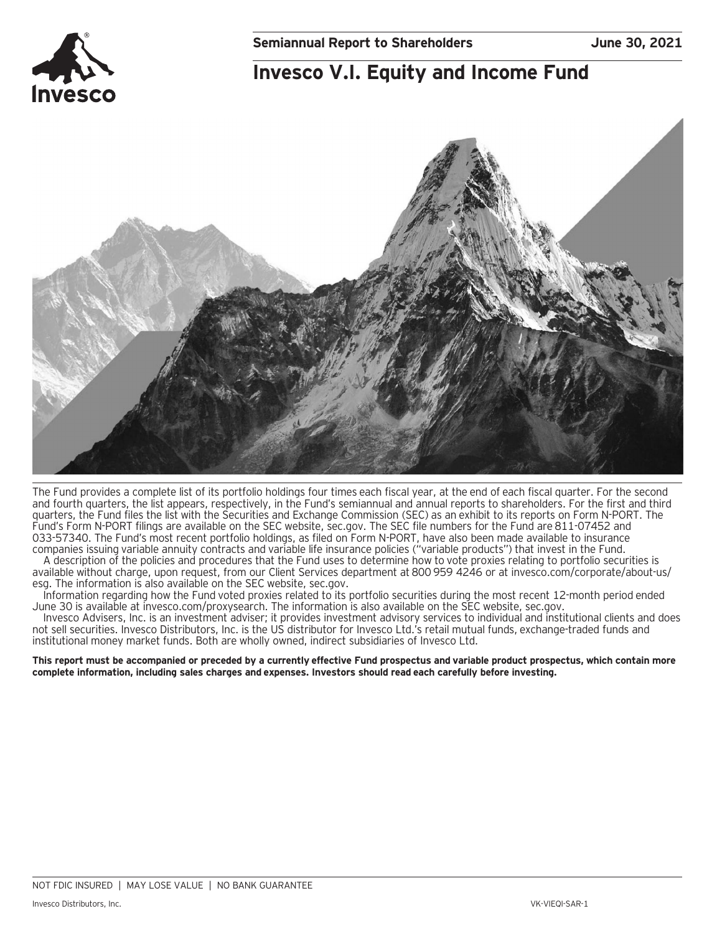## **Invesco V.I. Equity and Income Fund**



The Fund provides a complete list of its portfolio holdings four times each fiscal year, at the end of each fiscal quarter. For the second and fourth quarters, the list appears, respectively, in the Fund's semiannual and annual reports to shareholders. For the first and third quarters, the Fund files the list with the Securities and Exchange Commission (SEC) as an exhibit to its reports on Form N-PORT. The Fund's Form N-PORT filings are available on the SEC website, sec.gov. The SEC file numbers for the Fund are 811-07452 and 033-57340. The Fund's most recent portfolio holdings, as filed on Form N-PORT, have also been made available to insurance companies issuing variable annuity contracts and variable life insurance policies ("variable products") that invest in the Fund.

A description of the policies and procedures that the Fund uses to determine how to vote proxies relating to portfolio securities is available without charge, upon request, from our Client Services department at 800 959 4246 or at invesco.com/corporate/about-us/ esg. The information is also available on the SEC website, sec.gov.

Information regarding how the Fund voted proxies related to its portfolio securities during the most recent 12-month period ended June 30 is available at invesco.com/proxysearch. The information is also available on the SEC website, sec.gov.

Invesco Advisers, Inc. is an investment adviser; it provides investment advisory services to individual and institutional clients and does not sell securities. Invesco Distributors, Inc. is the US distributor for Invesco Ltd.'s retail mutual funds, exchange-traded funds and institutional money market funds. Both are wholly owned, indirect subsidiaries of Invesco Ltd.

**This report must be accompanied or preceded by a currently effective Fund prospectus and variable product prospectus, which contain more complete information, including sales charges and expenses. Investors should read each carefully before investing.**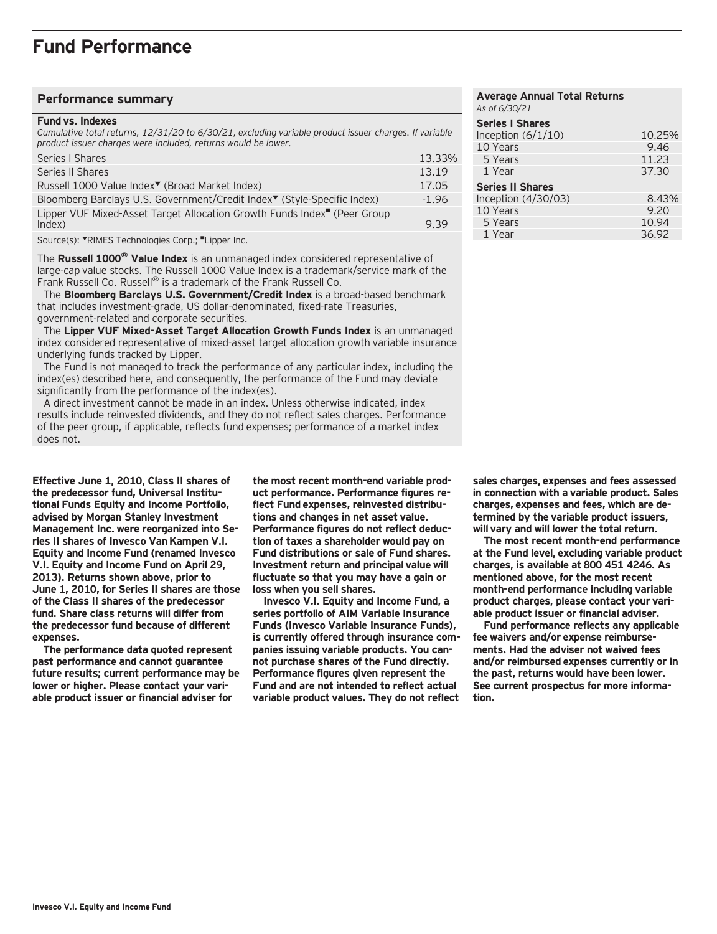### **Performance summary**

#### **Fund vs. Indexes**

*Cumulative total returns, 12/31/20 to 6/30/21, excluding variable product issuer charges. If variable product issuer charges were included, returns would be lower.*

| Series   Shares                                                                                | 13.33%  |
|------------------------------------------------------------------------------------------------|---------|
| Series II Shares                                                                               | 13.19   |
| Russell 1000 Value Index <sup>▼</sup> (Broad Market Index)                                     | 17.05   |
| Bloomberg Barclays U.S. Government/Credit Index <sup>▼</sup> (Style-Specific Index)            | $-1.96$ |
| Lipper VUF Mixed-Asset Target Allocation Growth Funds Index <sup>"</sup> (Peer Group<br>Index) | 9.39    |
|                                                                                                |         |

Source(s): "RIMES Technologies Corp.; "Lipper Inc.

The **Russell 1000® Value Index** is an unmanaged index considered representative of large-cap value stocks. The Russell 1000 Value Index is a trademark/service mark of the Frank Russell Co. Russell<sup>®</sup> is a trademark of the Frank Russell Co.

 The **Bloomberg Barclays U.S. Government/Credit Index** is a broad-based benchmark that includes investment-grade, US dollar-denominated, fixed-rate Treasuries, government-related and corporate securities.

 The **Lipper VUF Mixed-Asset Target Allocation Growth Funds Index** is an unmanaged index considered representative of mixed-asset target allocation growth variable insurance underlying funds tracked by Lipper.

 The Fund is not managed to track the performance of any particular index, including the index(es) described here, and consequently, the performance of the Fund may deviate significantly from the performance of the index(es).

 A direct investment cannot be made in an index. Unless otherwise indicated, index results include reinvested dividends, and they do not reflect sales charges. Performance of the peer group, if applicable, reflects fund expenses; performance of a market index does not.

**Effective June 1, 2010, Class II shares of the predecessor fund, Universal Institutional Funds Equity and Income Portfolio, advised by Morgan Stanley Investment Management Inc. were reorganized into Series II shares of Invesco Van Kampen V.I. Equity and Income Fund (renamed Invesco V.I. Equity and Income Fund on April 29, 2013). Returns shown above, prior to June 1, 2010, for Series II shares are those of the Class II shares of the predecessor fund. Share class returns will differ from the predecessor fund because of different expenses.**

**The performance data quoted represent past performance and cannot guarantee future results; current performance may be lower or higher. Please contact your variable product issuer or financial adviser for**

**the most recent month-end variable product performance. Performance figures reflect Fund expenses, reinvested distributions and changes in net asset value. Performance figures do not reflect deduction of taxes a shareholder would pay on Fund distributions or sale of Fund shares. Investment return and principal value will fluctuate so that you may have a gain or loss when you sell shares.**

**Invesco V.I. Equity and Income Fund, a series portfolio of AIM Variable Insurance Funds (Invesco Variable Insurance Funds), is currently offered through insurance companies issuing variable products. You cannot purchase shares of the Fund directly. Performance figures given represent the Fund and are not intended to reflect actual variable product values. They do not reflect**

#### **Average Annual Total Returns** *As of 6/30/21* **Series I Shares**  Inception (6/1/10) 10.25%<br>10 Years 9.46 10 Years 5 Years 11.23 1 Year 37.30 **Series II Shares**  Inception (4/30/03) 8.43%<br>10 Years 9.20 10 Years 9.20<br>5 Years 10.94 5 Years 10.94<br>1 Year 1987 - 10.94 1 Year

**sales charges, expenses and fees assessed in connection with a variable product. Sales charges, expenses and fees, which are determined by the variable product issuers, will vary and will lower the total return.**

**The most recent month-end performance at the Fund level, excluding variable product charges, is available at 800 451 4246. As mentioned above, for the most recent month-end performance including variable product charges, please contact your variable product issuer or financial adviser.**

**Fund performance reflects any applicable fee waivers and/or expense reimbursements. Had the adviser not waived fees and/or reimbursed expenses currently or in the past, returns would have been lower. See current prospectus for more information.**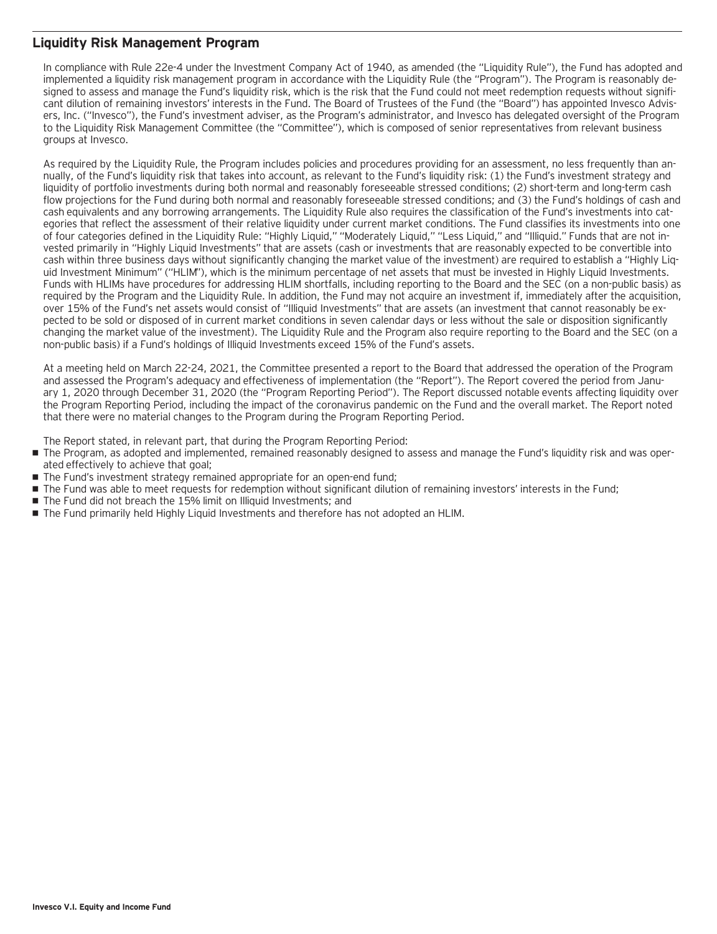### **Liquidity Risk Management Program**

In compliance with Rule 22e-4 under the Investment Company Act of 1940, as amended (the "Liquidity Rule"), the Fund has adopted and implemented a liquidity risk management program in accordance with the Liquidity Rule (the "Program"). The Program is reasonably designed to assess and manage the Fund's liquidity risk, which is the risk that the Fund could not meet redemption requests without significant dilution of remaining investors' interests in the Fund. The Board of Trustees of the Fund (the "Board") has appointed Invesco Advisers, Inc. ("Invesco"), the Fund's investment adviser, as the Program's administrator, and Invesco has delegated oversight of the Program to the Liquidity Risk Management Committee (the "Committee"), which is composed of senior representatives from relevant business groups at Invesco.

As required by the Liquidity Rule, the Program includes policies and procedures providing for an assessment, no less frequently than annually, of the Fund's liquidity risk that takes into account, as relevant to the Fund's liquidity risk: (1) the Fund's investment strategy and liquidity of portfolio investments during both normal and reasonably foreseeable stressed conditions; (2) short-term and long-term cash flow projections for the Fund during both normal and reasonably foreseeable stressed conditions; and (3) the Fund's holdings of cash and cash equivalents and any borrowing arrangements. The Liquidity Rule also requires the classification of the Fund's investments into categories that reflect the assessment of their relative liquidity under current market conditions. The Fund classifies its investments into one of four categories defined in the Liquidity Rule: "Highly Liquid," "Moderately Liquid," "Less Liquid," and "Illiquid." Funds that are not invested primarily in "Highly Liquid Investments" that are assets (cash or investments that are reasonably expected to be convertible into cash within three business days without significantly changing the market value of the investment) are required to establish a "Highly Liquid Investment Minimum" ("HLIM"), which is the minimum percentage of net assets that must be invested in Highly Liquid Investments. Funds with HLIMs have procedures for addressing HLIM shortfalls, including reporting to the Board and the SEC (on a non-public basis) as required by the Program and the Liquidity Rule. In addition, the Fund may not acquire an investment if, immediately after the acquisition, over 15% of the Fund's net assets would consist of "Illiquid Investments" that are assets (an investment that cannot reasonably be expected to be sold or disposed of in current market conditions in seven calendar days or less without the sale or disposition significantly changing the market value of the investment). The Liquidity Rule and the Program also require reporting to the Board and the SEC (on a non-public basis) if a Fund's holdings of Illiquid Investments exceed 15% of the Fund's assets.

At a meeting held on March 22-24, 2021, the Committee presented a report to the Board that addressed the operation of the Program and assessed the Program's adequacy and effectiveness of implementation (the "Report"). The Report covered the period from January 1, 2020 through December 31, 2020 (the "Program Reporting Period"). The Report discussed notable events affecting liquidity over the Program Reporting Period, including the impact of the coronavirus pandemic on the Fund and the overall market. The Report noted that there were no material changes to the Program during the Program Reporting Period.

The Report stated, in relevant part, that during the Program Reporting Period:

- The Program, as adopted and implemented, remained reasonably designed to assess and manage the Fund's liquidity risk and was operated effectively to achieve that goal;
- The Fund's investment strategy remained appropriate for an open-end fund;
- The Fund was able to meet requests for redemption without significant dilution of remaining investors' interests in the Fund;
- The Fund did not breach the 15% limit on Illiquid Investments; and
- The Fund primarily held Highly Liquid Investments and therefore has not adopted an HLIM.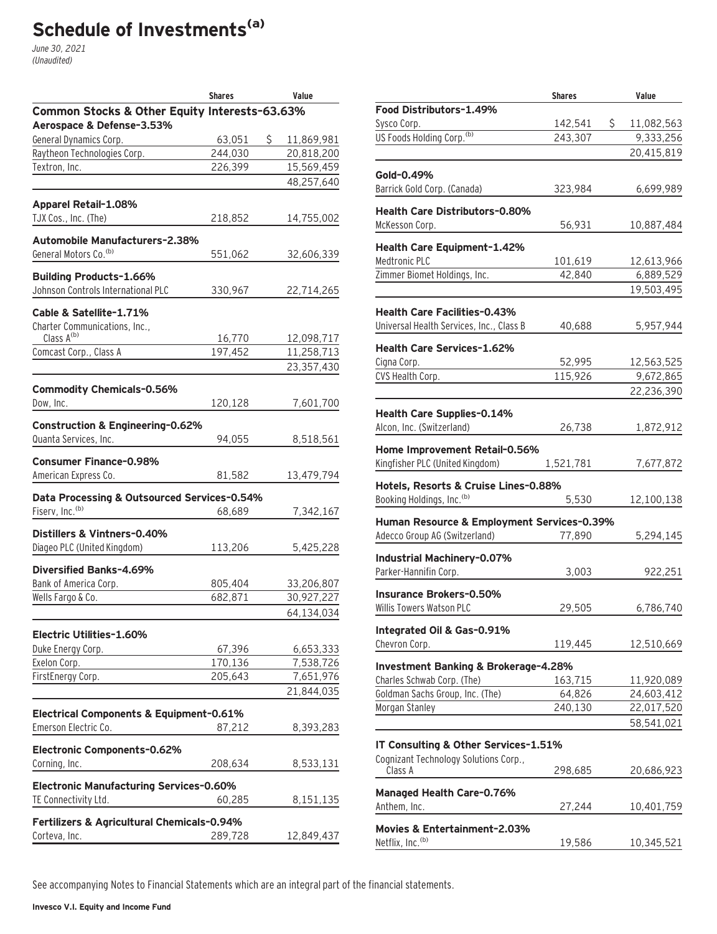# **Schedule of Investments(a)**

June 30, 2021 (Unaudited)

|                                               | <b>Shares</b> | Value            |
|-----------------------------------------------|---------------|------------------|
| Common Stocks & Other Equity Interests-63.63% |               |                  |
| Aerospace & Defense-3.53%                     |               |                  |
| General Dynamics Corp.                        | 63,051        | \$<br>11,869,981 |
| Raytheon Technologies Corp.                   | 244,030       | 20,818,200       |
| Textron, Inc.                                 | 226,399       | 15,569,459       |
|                                               |               | 48,257,640       |
| <b>Apparel Retail-1.08%</b>                   |               |                  |
| TJX Cos., Inc. (The)                          | 218,852       | 14,755,002       |
| <b>Automobile Manufacturers-2.38%</b>         |               |                  |
| General Motors Co. <sup>(b)</sup>             | 551,062       | 32,606,339       |
| <b>Building Products-1.66%</b>                |               |                  |
| Johnson Controls International PLC            | 330,967       | 22,714,265       |
| Cable & Satellite-1.71%                       |               |                  |
| Charter Communications, Inc.,                 |               |                  |
| Class A <sup>(b)</sup>                        | 16,770        | 12,098,717       |
| Comcast Corp., Class A                        | 197,452       | 11,258,713       |
|                                               |               | 23,357,430       |
|                                               |               |                  |
| <b>Commodity Chemicals-0.56%</b>              |               |                  |
| Dow, Inc.                                     | 120,128       | 7,601,700        |
| Construction & Engineering-0.62%              |               |                  |
| Quanta Services, Inc.                         | 94,055        | 8,518,561        |
| <b>Consumer Finance-0.98%</b>                 |               |                  |
| American Express Co.                          |               |                  |
|                                               | 81,582        | 13,479,794       |
| Data Processing & Outsourced Services-0.54%   |               |                  |
| Fiserv, Inc. <sup>(b)</sup>                   | 68,689        | 7,342,167        |
| Distillers & Vintners-0.40%                   |               |                  |
| Diageo PLC (United Kingdom)                   | 113,206       | 5,425,228        |
|                                               |               |                  |
| Diversified Banks-4.69%                       |               |                  |
| Bank of America Corp.                         | 805,404       | 33,206,807       |
| Wells Fargo & Co.                             | 682,871       | 30,927,227       |
|                                               |               | 64,134,034       |
| Electric Utilities-1.60%                      |               |                  |
| Duke Energy Corp.                             | 67,396        | 6,653,333        |
| Exelon Corp.                                  | 170,136       | 7,538,726        |
| FirstEnergy Corp.                             | 205,643       | 7,651,976        |
|                                               |               | 21,844,035       |
|                                               |               |                  |
| Electrical Components & Equipment-0.61%       |               |                  |
| Emerson Electric Co.                          | 87,212        | 8,393,283        |
| Electronic Components-0.62%                   |               |                  |
| Corning, Inc.                                 | 208,634       | 8,533,131        |
| Electronic Manufacturing Services-0.60%       |               |                  |
| TE Connectivity Ltd.                          | 60,285        |                  |
|                                               |               | 8,151,135        |
| Fertilizers & Agricultural Chemicals-0.94%    |               |                  |
| Corteva, Inc.                                 | 289,728       | 12,849,437       |
|                                               |               |                  |

|                                            | <b>Shares</b> | Value            |
|--------------------------------------------|---------------|------------------|
| Food Distributors-1.49%                    |               |                  |
| Sysco Corp.                                | 142,541       | \$<br>11,082,563 |
| US Foods Holding Corp. <sup>(b)</sup>      | 243,307       | 9,333,256        |
|                                            |               | 20,415,819       |
|                                            |               |                  |
| Gold-0.49%                                 |               |                  |
| Barrick Gold Corp. (Canada)                | 323,984       | 6,699,989        |
|                                            |               |                  |
| <b>Health Care Distributors-0.80%</b>      |               |                  |
| McKesson Corp.                             | 56,931        | 10,887,484       |
| Health Care Equipment-1.42%                |               |                  |
| Medtronic PLC                              | 101,619       | 12,613,966       |
| Zimmer Biomet Holdings, Inc.               | 42,840        |                  |
|                                            |               | 6,889,529        |
|                                            |               | 19,503,495       |
| <b>Health Care Facilities-0.43%</b>        |               |                  |
| Universal Health Services, Inc., Class B   | 40,688        | 5,957,944        |
|                                            |               |                  |
| <b>Health Care Services-1.62%</b>          |               |                  |
| Cigna Corp.                                | 52,995        | 12,563,525       |
| CVS Health Corp.                           | 115,926       | 9,672,865        |
|                                            |               | 22,236,390       |
|                                            |               |                  |
| <b>Health Care Supplies-0.14%</b>          |               |                  |
| Alcon, Inc. (Switzerland)                  | 26,738        | 1,872,912        |
| Home Improvement Retail-0.56%              |               |                  |
| Kingfisher PLC (United Kingdom)            | 1,521,781     | 7,677,872        |
|                                            |               |                  |
| Hotels, Resorts & Cruise Lines-0.88%       |               |                  |
| Booking Holdings, Inc. (b)                 | 5,530         | 12,100,138       |
|                                            |               |                  |
| Human Resource & Employment Services-0.39% |               |                  |
| Adecco Group AG (Switzerland)              | 77,890        | 5,294,145        |
| Industrial Machinery-0.07%                 |               |                  |
| Parker-Hannifin Corp.                      | 3,003         | 922,251          |
|                                            |               |                  |
| Insurance Brokers-0.50%                    |               |                  |
| Willis Towers Watson PLC                   | 29,505        | 6,786,740        |
|                                            |               |                  |
| Intearated Oil & Gas-0.91%                 |               |                  |
| Chevron Corp.                              | 119,445       | 12,510,669       |
| Investment Banking & Brokerage-4.28%       |               |                  |
| Charles Schwab Corp. (The)                 | 163,715       | 11,920,089       |
| Goldman Sachs Group, Inc. (The)            | 64,826        | 24,603,412       |
| Morgan Stanley                             | 240,130       | 22,017,520       |
|                                            |               | 58,541,021       |
|                                            |               |                  |
| IT Consulting & Other Services-1.51%       |               |                  |
| Cognizant Technology Solutions Corp.,      |               |                  |
| Class A                                    | 298,685       | 20,686,923       |
|                                            |               |                  |
| <b>Managed Health Care-0.76%</b>           |               |                  |
| Anthem, Inc.                               | 27,244        | 10,401,759       |
| Movies & Entertainment-2.03%               |               |                  |
| Netflix, Inc. <sup>(b)</sup>               | 19,586        | 10,345,521       |
|                                            |               |                  |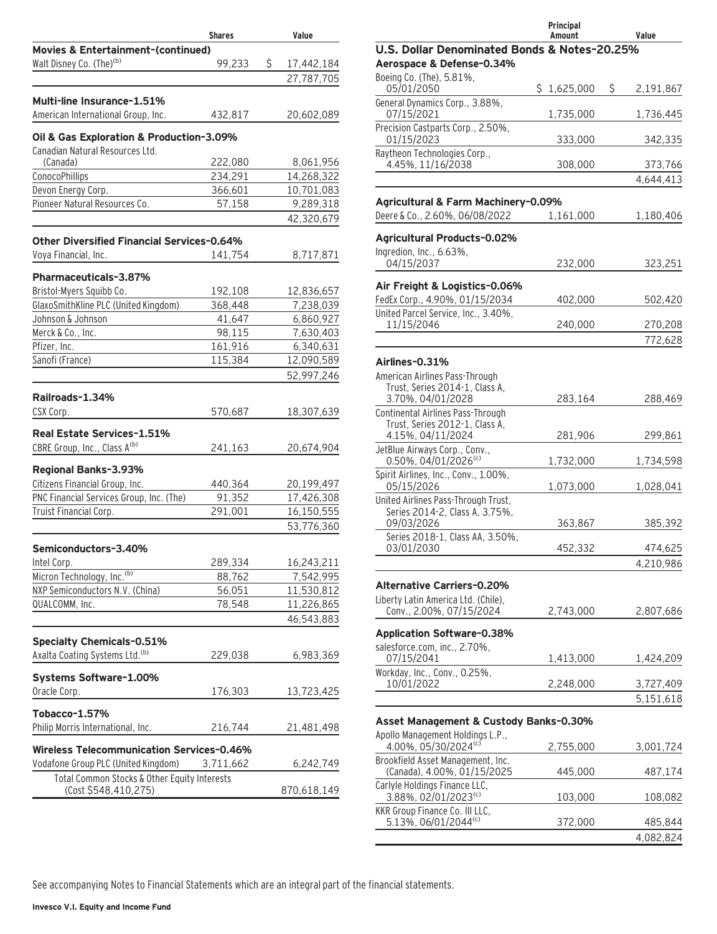|                                                   | <b>Shares</b> | Value            |
|---------------------------------------------------|---------------|------------------|
| <b>Movies &amp; Entertainment-(continued)</b>     |               |                  |
| Walt Disney Co. (The) <sup>(b)</sup>              | 99,233        | \$<br>17,442,184 |
|                                                   |               | 27,787,705       |
| Multi-line Insurance-1.51%                        |               |                  |
| American International Group, Inc.                | 432,817       | 20,602,089       |
| Oil & Gas Exploration & Production-3.09%          |               |                  |
| Canadian Natural Resources Ltd.                   |               |                  |
| (Canada)                                          | 222,080       | 8,061,956        |
| ConocoPhillips                                    | 234,291       | 14,268,322       |
| Devon Energy Corp.                                | 366,601       | 10,701,083       |
| Pioneer Natural Resources Co.                     | 57,158        | 9,289,318        |
|                                                   |               | 42,320,679       |
| <b>Other Diversified Financial Services-0.64%</b> |               |                  |
| Voya Financial, Inc.                              | 141,754       | 8,717,871        |
| Pharmaceuticals-3.87%                             |               |                  |
| Bristol-Myers Squibb Co.                          | 192,108       | 12,836,657       |
| GlaxoSmithKline PLC (United Kingdom)              | 368,448       | 7,238,039        |
| Johnson & Johnson                                 | 41,647        | 6,860,927        |
| Merck & Co., Inc.                                 | 98,115        | 7,630,403        |
| Pfizer, Inc.                                      | 161,916       | 6,340,631        |
| Sanofi (France)                                   | 115,384       | 12,090,589       |
|                                                   |               | 52,997,246       |
| Railroads-1.34%                                   |               |                  |
| CSX Corp.                                         | 570,687       | 18,307,639       |
| Real Estate Services-1.51%                        |               |                  |
| CBRE Group, Inc., Class A(b)                      | 241,163       | 20,674,904       |
|                                                   |               |                  |
| Regional Banks-3.93%                              |               |                  |
| Citizens Financial Group, Inc.                    | 440,364       | 20,199,497       |
| PNC Financial Services Group, Inc. (The)          | 91,352        | 17,426,308       |
| Truist Financial Corp.                            | 291,001       | 16,150,555       |
|                                                   |               | 53,776,360       |
| Semiconductors-3.40%                              |               |                  |
| Intel Corp.                                       | 289,334       | 16,243,211       |
| Micron Technology, Inc. <sup>(b)</sup>            | 88,762        | 7,542,995        |
| NXP Semiconductors N.V. (China)                   | 56,051        | 11,530,812       |
| QUALCOMM, Inc.                                    | 78,548        | 11,226,865       |
|                                                   |               | 46,543,883       |
| <b>Specialty Chemicals-0.51%</b>                  |               |                  |
| Axalta Coating Systems Ltd. <sup>(b)</sup>        | 229,038       | 6,983,369        |
| Systems Software-1.00%                            |               |                  |
| Oracle Corp.                                      | 176,303       | 13,723,425       |
|                                                   |               |                  |
| Tobacco-1.57%                                     |               |                  |
| Philip Morris International, Inc.                 | 216,744       | 21,481,498       |
| <b>Wireless Telecommunication Services-0.46%</b>  |               |                  |
| Vodafone Group PLC (United Kingdom)               | 3,711,662     | 6,242,749        |
| Total Common Stocks & Other Equity Interests      |               |                  |
| (Cost \$548,410,275)                              |               | 870,618,149      |

|                                                                       | Principal<br>Amount | Value           |
|-----------------------------------------------------------------------|---------------------|-----------------|
| U.S. Dollar Denominated Bonds & Notes-20.25%                          |                     |                 |
| Aerospace & Defense-0.34%                                             |                     |                 |
| Boeing Co. (The), 5.81%,<br>05/01/2050                                | \$1,625,000         | \$<br>2,191,867 |
| General Dynamics Corp., 3.88%,<br>07/15/2021                          | 1,735,000           | 1,736,445       |
| Precision Castparts Corp., 2.50%,<br>01/15/2023                       | 333,000             | 342,335         |
| Raytheon Technologies Corp.,<br>4.45%, 11/16/2038                     | 308,000             | 373,766         |
|                                                                       |                     | 4,644,413       |
| Agricultural & Farm Machinery-0.09%                                   |                     |                 |
| Deere & Co., 2.60%, 06/08/2022                                        | 1,161,000           | 1,180,406       |
| <b>Agricultural Products-0.02%</b>                                    |                     |                 |
| Ingredion, Inc., 6.63%,                                               |                     |                 |
| 04/15/2037                                                            | 232,000             | 323,251         |
| Air Freight & Logistics-0.06%                                         |                     |                 |
| FedEx Corp., 4.90%, 01/15/2034<br>United Parcel Service, Inc., 3.40%, | 402,000             | 502,420         |
| 11/15/2046                                                            | 240,000             | 270,208         |
|                                                                       |                     | 772,628         |
| Airlines-0.31%                                                        |                     |                 |
| American Airlines Pass-Through                                        |                     |                 |
| Trust, Series 2014-1, Class A,<br>3.70%, 04/01/2028                   | 283,164             | 288,469         |
| Continental Airlines Pass-Through                                     |                     |                 |
| Trust, Series 2012-1, Class A,                                        |                     |                 |
| 4.15%, 04/11/2024<br>JetBlue Airways Corp., Conv.,                    | 281,906             | 299,861         |
| 0.50%, 04/01/2026 <sup>(c)</sup>                                      | 1,732,000           | 1,734,598       |
| Spirit Airlines, Inc., Conv., 1.00%,<br>05/15/2026                    | 1,073,000           | 1,028,041       |
| United Airlines Pass-Through Trust,                                   |                     |                 |
| Series 2014-2, Class A, 3.75%,<br>09/03/2026                          | 363,867             | 385,392         |
| Series 2018-1, Class AA, 3.50%,                                       |                     |                 |
| 03/01/2030                                                            | 452,332             | 474,625         |
|                                                                       |                     | 4,210,986       |
| <b>Alternative Carriers-0.20%</b>                                     |                     |                 |
| Liberty Latin America Ltd. (Chile),<br>Conv., 2.00%, 07/15/2024       | 2,743,000           | 2,807,686       |
|                                                                       |                     |                 |
| <b>Application Software-0.38%</b>                                     |                     |                 |
| salesforce.com. inc., 2.70%.<br>07/15/2041                            | 1,413,000           | 1,424,209       |
| Workday, Inc., Conv., 0.25%,                                          |                     |                 |
| 10/01/2022                                                            | 2,248,000           | 3,727,409       |
|                                                                       |                     | 5,151,618       |
| Asset Management & Custody Banks-0.30%                                |                     |                 |
| Apollo Management Holdings L.P.,<br>4.00%, 05/30/2024 <sup>(c)</sup>  | 2,755,000           | 3,001,724       |
| Brookfield Asset Management, Inc.<br>(Canada), 4.00%, 01/15/2025      | 445,000             | 487,174         |
| Carlyle Holdings Finance LLC,                                         |                     |                 |
| 3.88%, 02/01/2023 <sup>(c)</sup>                                      | 103,000             | 108,082         |
| KKR Group Finance Co. III LLC,<br>5.13%, 06/01/2044(c)                | 372,000             | 485,844         |
|                                                                       |                     | 4,082,824       |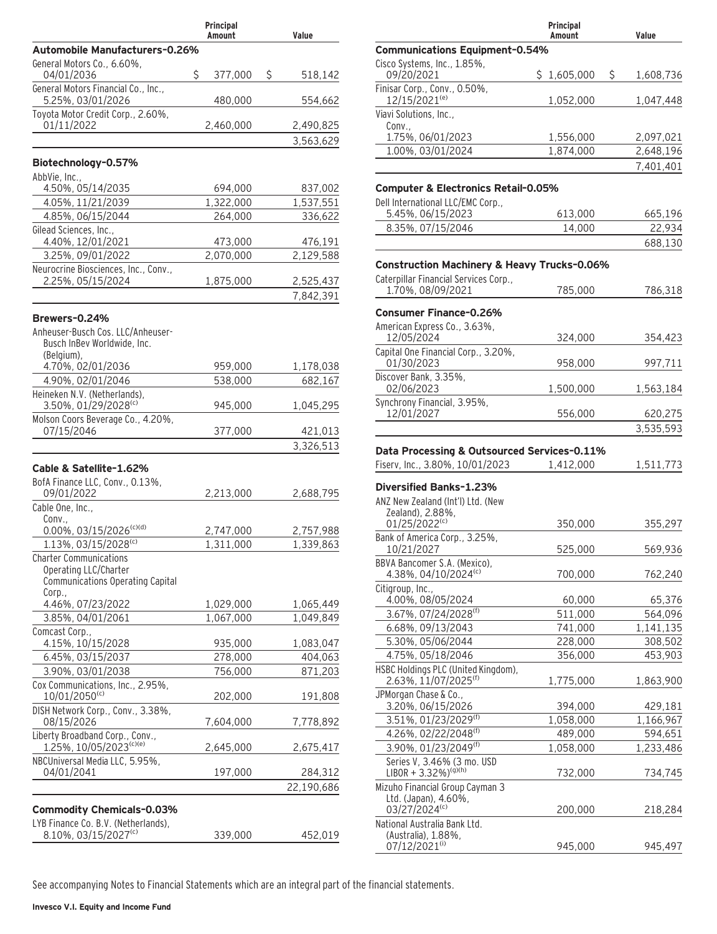|                                                                         | Principal<br>Amount | Value                  |
|-------------------------------------------------------------------------|---------------------|------------------------|
| Automobile Manufacturers-0.26%                                          |                     |                        |
| General Motors Co., 6.60%,<br>04/01/2036                                | \$<br>377,000       | \$<br>518,142          |
| General Motors Financial Co., Inc.,<br>5.25%, 03/01/2026                | 480,000             | 554,662                |
| Toyota Motor Credit Corp., 2.60%,                                       |                     |                        |
| 01/11/2022                                                              | 2,460,000           | 2,490,825<br>3,563,629 |
|                                                                         |                     |                        |
| Biotechnology-0.57%                                                     |                     |                        |
| AbbVie, Inc.,<br>4.50%, 05/14/2035                                      | 694,000             | 837,002                |
| 4.05%, 11/21/2039                                                       | 1,322,000           | 1,537,551              |
| 4.85%, 06/15/2044                                                       | 264,000             | 336,622                |
| Gilead Sciences, Inc.,<br>4.40%, 12/01/2021                             | 473,000             | 476,191                |
| 3.25%, 09/01/2022                                                       | 2,070,000           | 2,129,588              |
| Neurocrine Biosciences, Inc., Conv.,                                    |                     |                        |
| 2.25%, 05/15/2024                                                       | 1,875,000           | 2,525,437              |
|                                                                         |                     | 7,842,391              |
| Brewers-0.24%                                                           |                     |                        |
| Anheuser-Busch Cos. LLC/Anheuser-<br>Busch InBev Worldwide, Inc.        |                     |                        |
| (Belgium),<br>4.70%, 02/01/2036                                         | 959,000             | 1,178,038              |
| 4.90%, 02/01/2046                                                       | 538,000             | 682,167                |
| Heineken N.V. (Netherlands),                                            |                     |                        |
| 3.50%, 01/29/2028(c)                                                    | 945,000             | 1,045,295              |
| Molson Coors Beverage Co., 4.20%,<br>07/15/2046                         | 377,000             | 421,013                |
|                                                                         |                     | 3,326,513              |
| Cable & Satellite-1.62%                                                 |                     |                        |
| BofA Finance LLC, Conv., 0.13%,                                         |                     |                        |
| 09/01/2022<br>Cable One, Inc.,                                          | 2,213,000           | 2,688,795              |
| Conv.,                                                                  |                     |                        |
| $0.00\%$ , 03/15/2026 <sup>(c)(d)</sup>                                 | 2,747,000           | 2,757,988              |
| 1.13%, 03/15/2028 <sup>(c)</sup>                                        | 1,311,000           | 1,339,863              |
| <b>Charter Communications</b>                                           |                     |                        |
| Operating LLC/Charter<br>Communications Operating Capital               |                     |                        |
| Corp.,                                                                  |                     |                        |
| 4.46%, 07/23/2022                                                       | 1,029,000           | 1,065,449              |
| 3.85%, 04/01/2061                                                       | 1,067,000           | 1,049,849              |
| Comcast Corp.,<br>4.15%, 10/15/2028                                     | 935,000             | 1,083,047              |
| 6.45%, 03/15/2037                                                       | 278,000             | 404,063                |
| 3.90%, 03/01/2038                                                       | 756,000             | 871,203                |
| Cox Communications, Inc., 2.95%,                                        |                     |                        |
| 10/01/2050(c)                                                           | 202,000             | 191,808                |
| DISH Network Corp., Conv., 3.38%,<br>08/15/2026                         | 7,604,000           | 7,778,892              |
| Liberty Broadband Corp., Conv.,<br>1.25%, 10/05/2023(c)(e)              | 2,645,000           | 2,675,417              |
| NBCUniversal Media LLC, 5.95%,<br>04/01/2041                            | 197,000             | 284,312                |
|                                                                         |                     | 22,190,686             |
|                                                                         |                     |                        |
| <b>Commodity Chemicals-0.03%</b><br>LYB Finance Co. B.V. (Netherlands), |                     |                        |
| 8.10%, 03/15/2027(c)                                                    | 339,000             | 452,019                |
|                                                                         |                     |                        |

|                                                                                  | Principal<br>Amount   | Value                |
|----------------------------------------------------------------------------------|-----------------------|----------------------|
| <b>Communications Equipment-0.54%</b>                                            |                       |                      |
| Cisco Systems, Inc., 1.85%,                                                      |                       |                      |
| 09/20/2021<br>Finisar Corp., Conv., 0.50%,                                       | \$<br>\$<br>1,605,000 | 1,608,736            |
| 12/15/2021 <sup>(e)</sup>                                                        | 1,052,000             | 1,047,448            |
| Viavi Solutions, Inc.,<br>Conv.,                                                 |                       |                      |
| 1.75%, 06/01/2023                                                                | 1,556,000             | 2,097,021            |
| 1.00%, 03/01/2024                                                                | 1,874,000             | 2,648,196            |
|                                                                                  |                       | 7,401,401            |
| <b>Computer &amp; Electronics Retail-0.05%</b>                                   |                       |                      |
| Dell International LLC/EMC Corp.,                                                |                       |                      |
| 5.45%, 06/15/2023                                                                | 613,000               | 665,196              |
| 8.35%, 07/15/2046                                                                | 14,000                | 22,934               |
|                                                                                  |                       | 688,130              |
| <b>Construction Machinery &amp; Heavy Trucks-0.06%</b>                           |                       |                      |
| Caterpillar Financial Services Corp.,<br>1.70%, 08/09/2021                       | 785,000               | 786,318              |
| <b>Consumer Finance-0.26%</b>                                                    |                       |                      |
| American Express Co., 3.63%,                                                     |                       |                      |
| 12/05/2024<br>Capital One Financial Corp., 3.20%,                                | 324,000               | 354,423              |
| 01/30/2023                                                                       | 958,000               | 997,711              |
| Discover Bank, 3.35%,<br>02/06/2023                                              | 1,500,000             | 1,563,184            |
| Synchrony Financial, 3.95%,<br>12/01/2027                                        | 556,000               | 620,275              |
|                                                                                  |                       | 3,535,593            |
| Data Processing & Outsourced Services-0.11%<br>Fiserv, Inc., 3.80%, 10/01/2023   | 1,412,000             | 1,511,773            |
| Diversified Banks-1.23%<br>ANZ New Zealand (Int'l) Ltd. (New<br>Zealand), 2.88%, |                       |                      |
| 01/25/2022 <sup>(c)</sup>                                                        | 350,000               | 355,297              |
| Bank of America Corp., 3.25%,<br>10/21/2027                                      | 525,000               | 569,936              |
| BBVA Bancomer S.A. (Mexico),<br>4.38%, 04/10/2024 <sup>(c)</sup>                 | 700,000               | 762,240              |
| Citigroup, Inc.,                                                                 |                       |                      |
| 4.00%, 08/05/2024<br>3.67%, 07/24/2028 <sup>(f)</sup>                            | 60,000                | 65,376               |
| 6.68%, 09/13/2043                                                                | 511,000<br>741,000    | 564,096<br>1,141,135 |
| 5.30%, 05/06/2044                                                                | 228,000               | 308,502              |
| 4.75%, 05/18/2046                                                                | 356,000               | 453,903              |
| HSBC Holdings PLC (United Kingdom),                                              |                       |                      |
| 2.63%, 11/07/2025 <sup>(f)</sup>                                                 | 1,775,000             | 1,863,900            |
| JPMorgan Chase & Co.,<br>3.20%, 06/15/2026                                       | 394,000               |                      |
| 3.51%, 01/23/2029 <sup>(f)</sup>                                                 | 1,058,000             |                      |
| 4.26%, 02/22/2048(f)                                                             |                       | 429,181              |
|                                                                                  |                       | 1,166,967            |
|                                                                                  | 489,000               | 594,651              |
| 3.90%, 01/23/2049 <sup>(f)</sup>                                                 | 1,058,000             | 1,233,486            |
| Series V, 3.46% (3 mo. USD<br>$LIBOR + 3.32\%$ <sup>(g)(h)</sup>                 | 732,000               | 734,745              |
| Mizuho Financial Group Cayman 3                                                  |                       |                      |
| Ltd. (Japan), 4.60%,<br>03/27/2024(c)                                            | 200,000               | 218,284              |
| National Australia Bank Ltd.<br>(Australia), 1.88%,                              |                       |                      |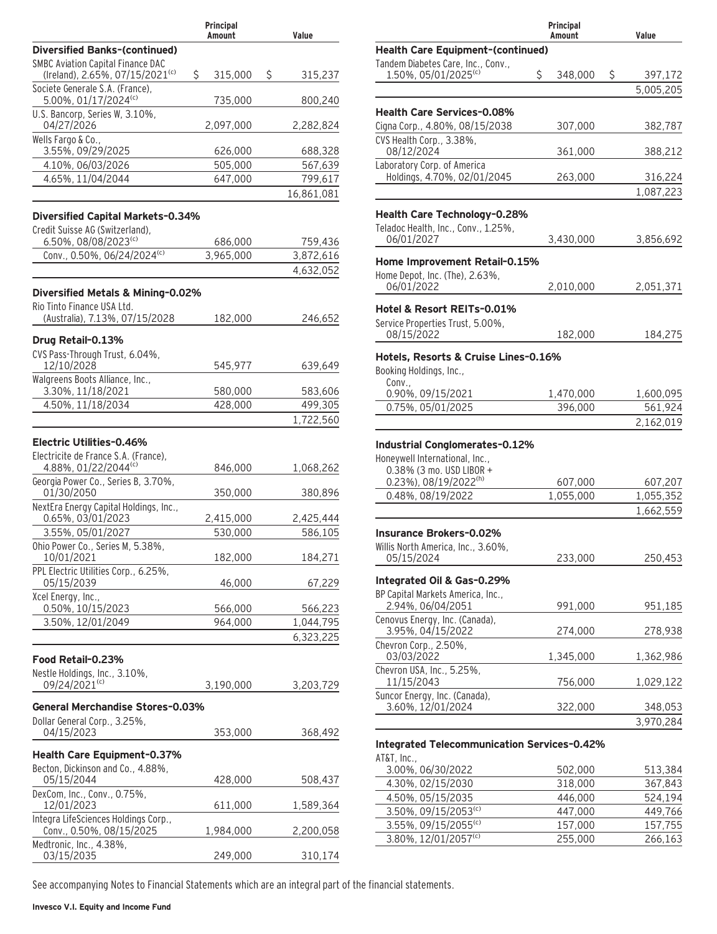|                                                                                | Principal<br>Amount | Value         |
|--------------------------------------------------------------------------------|---------------------|---------------|
| <b>Diversified Banks-(continued)</b>                                           |                     |               |
| SMBC Aviation Capital Finance DAC                                              |                     |               |
| (Ireland), 2.65%, 07/15/2021 <sup>(c)</sup><br>Societe Generale S.A. (France), | \$<br>315,000       | \$<br>315,237 |
| 5.00%, 01/17/2024 <sup>(c)</sup>                                               | 735,000             | 800,240       |
| U.S. Bancorp, Series W, 3.10%,                                                 |                     |               |
| 04/27/2026                                                                     | 2,097,000           | 2,282,824     |
| Wells Fargo & Co.,<br>3.55%, 09/29/2025                                        | 626,000             | 688,328       |
| 4.10%, 06/03/2026                                                              | 505,000             | 567,639       |
| 4.65%, 11/04/2044                                                              | 647,000             | 799,617       |
|                                                                                |                     | 16,861,081    |
|                                                                                |                     |               |
| Diversified Capital Markets-0.34%                                              |                     |               |
| Credit Suisse AG (Switzerland),<br>6.50%, 08/08/2023 <sup>(c)</sup>            | 686,000             | 759,436       |
| Conv., 0.50%, 06/24/2024(c)                                                    | 3,965,000           | 3,872,616     |
|                                                                                |                     | 4,632,052     |
|                                                                                |                     |               |
| Diversified Metals & Mining-0.02%<br>Rio Tinto Finance USA Ltd.                |                     |               |
| (Australia), 7.13%, 07/15/2028                                                 | 182,000             | 246,652       |
|                                                                                |                     |               |
| Drug Retail-0.13%                                                              |                     |               |
| CVS Pass-Through Trust, 6.04%,<br>12/10/2028                                   | 545,977             | 639,649       |
| Walgreens Boots Alliance, Inc.,                                                |                     |               |
| 3.30%, 11/18/2021                                                              | 580,000             | 583,606       |
| 4.50%, 11/18/2034                                                              | 428,000             | 499,305       |
|                                                                                |                     | 1,722,560     |
| Electric Utilities-0.46%                                                       |                     |               |
| Electricite de France S.A. (France),                                           |                     |               |
| 4.88%, 01/22/2044 <sup>(c)</sup>                                               | 846,000             | 1,068,262     |
| Georgia Power Co., Series B, 3.70%,                                            |                     |               |
| 01/30/2050                                                                     | 350,000             | 380,896       |
| NextEra Energy Capital Holdings, Inc.,<br>0.65%, 03/01/2023                    | 2,415,000           | 2,425,444     |
| 3.55%, 05/01/2027                                                              | 530,000             | 586,105       |
| Ohio Power Co., Series M, 5.38%,                                               |                     |               |
| 10/01/2021                                                                     | 182,000             | 184,271       |
| PPL Electric Utilities Corp., 6.25%,                                           |                     |               |
| 05/15/2039<br>Xcel Energy, Inc.,                                               | 46,000              | 67,229        |
| 0.50%, 10/15/2023                                                              | 566,000             | 566,223       |
| 3.50%, 12/01/2049                                                              | 964,000             | 1,044,795     |
|                                                                                |                     | 6,323,225     |
|                                                                                |                     |               |
| Food Retail-0.23%<br>Nestle Holdings, Inc., 3.10%,                             |                     |               |
| 09/24/2021 <sup>(c)</sup>                                                      | 3,190,000           | 3,203,729     |
|                                                                                |                     |               |
| General Merchandise Stores-0.03%                                               |                     |               |
| Dollar General Corp., 3.25%,<br>04/15/2023                                     | 353,000             | 368,492       |
|                                                                                |                     |               |
| Health Care Equipment-0.37%                                                    |                     |               |
| Becton, Dickinson and Co., 4.88%,<br>05/15/2044                                | 428,000             | 508,437       |
| DexCom, Inc., Conv., 0.75%,                                                    |                     |               |
| 12/01/2023                                                                     | 611,000             | 1,589,364     |
| Integra LifeSciences Holdings Corp.,                                           |                     |               |
| Conv., 0.50%, 08/15/2025<br>Medtronic, Inc., 4.38%,                            | 1,984,000           | 2,200,058     |
| 03/15/2035                                                                     | 249,000             | 310,174       |

|                                                                        | Principal<br>Amount  | Value                |
|------------------------------------------------------------------------|----------------------|----------------------|
| <b>Health Care Equipment-(continued)</b>                               |                      |                      |
| Tandem Diabetes Care, Inc., Conv.,<br>1.50%, 05/01/2025 <sup>(c)</sup> | \$<br>348,000        | \$<br>397,172        |
|                                                                        |                      | 5,005,205            |
|                                                                        |                      |                      |
| <b>Health Care Services-0.08%</b>                                      |                      |                      |
| Cigna Corp., 4.80%, 08/15/2038<br>CVS Health Corp., 3.38%,             | 307,000              | 382,787              |
| 08/12/2024                                                             | 361,000              | 388,212              |
| Laboratory Corp. of America<br>Holdings, 4.70%, 02/01/2045             | 263,000              | 316,224              |
|                                                                        |                      | 1,087,223            |
| Health Care Technology-0.28%                                           |                      |                      |
| Teladoc Health, Inc., Conv., 1.25%,                                    |                      |                      |
| 06/01/2027                                                             | 3,430,000            | 3,856,692            |
| Home Improvement Retail-0.15%                                          |                      |                      |
| Home Depot, Inc. (The), 2.63%,                                         |                      |                      |
| 06/01/2022                                                             | 2,010,000            | 2,051,371            |
| Hotel & Resort REITs-0.01%                                             |                      |                      |
| Service Properties Trust, 5.00%,                                       |                      |                      |
| 08/15/2022                                                             | 182,000              | 184,275              |
| Hotels, Resorts & Cruise Lines-0.16%                                   |                      |                      |
| Booking Holdings, Inc.,                                                |                      |                      |
| Conv.,<br>0.90%, 09/15/2021                                            | 1,470,000            | 1,600,095            |
| 0.75%, 05/01/2025                                                      | 396,000              | 561,924              |
|                                                                        |                      | 2,162,019            |
| Industrial Conglomerates-0.12%                                         |                      |                      |
| Honeywell International, Inc.,                                         |                      |                      |
| 0.38% (3 mo. USD LIBOR +                                               |                      |                      |
| 0.23%), 08/19/2022(h)<br>0.48%, 08/19/2022                             | 607,000<br>1,055,000 | 607,207<br>1,055,352 |
|                                                                        |                      | 1,662,559            |
|                                                                        |                      |                      |
| <b>Insurance Brokers-0.02%</b>                                         |                      |                      |
| Willis North America, Inc., 3.60%,<br>05/15/2024                       | 233,000              | 250,453              |
| Integrated Oil & Gas-0.29%                                             |                      |                      |
| BP Capital Markets America, Inc.,                                      |                      |                      |
| 2.94%, 06/04/2051                                                      | 991,000              | 951,185              |
| Cenovus Energy, Inc. (Canada),<br>3.95%, 04/15/2022                    | 274,000              | 278,938              |
| Chevron Corp., 2.50%,<br>03/03/2022                                    | 1,345,000            | 1,362,986            |
| Chevron USA, Inc., 5.25%,<br>11/15/2043                                | 756,000              | 1,029,122            |
| Suncor Energy, Inc. (Canada),                                          |                      |                      |
| 3.60%, 12/01/2024                                                      | 322,000              | 348,053              |
|                                                                        |                      | 3,970,284            |

| AT&T, Inc.,                      |         |         |
|----------------------------------|---------|---------|
| 3.00%, 06/30/2022                | 502.000 | 513.384 |
| 4.30%, 02/15/2030                | 318,000 | 367.843 |
| 4.50%, 05/15/2035                | 446.000 | 524.194 |
| 3.50%, 09/15/2053(c)             | 447.000 | 449,766 |
| 3.55%, 09/15/2055 <sup>(c)</sup> | 157.000 | 157,755 |
| 3.80%, 12/01/2057(c)             | 255.000 | 266,163 |
|                                  |         |         |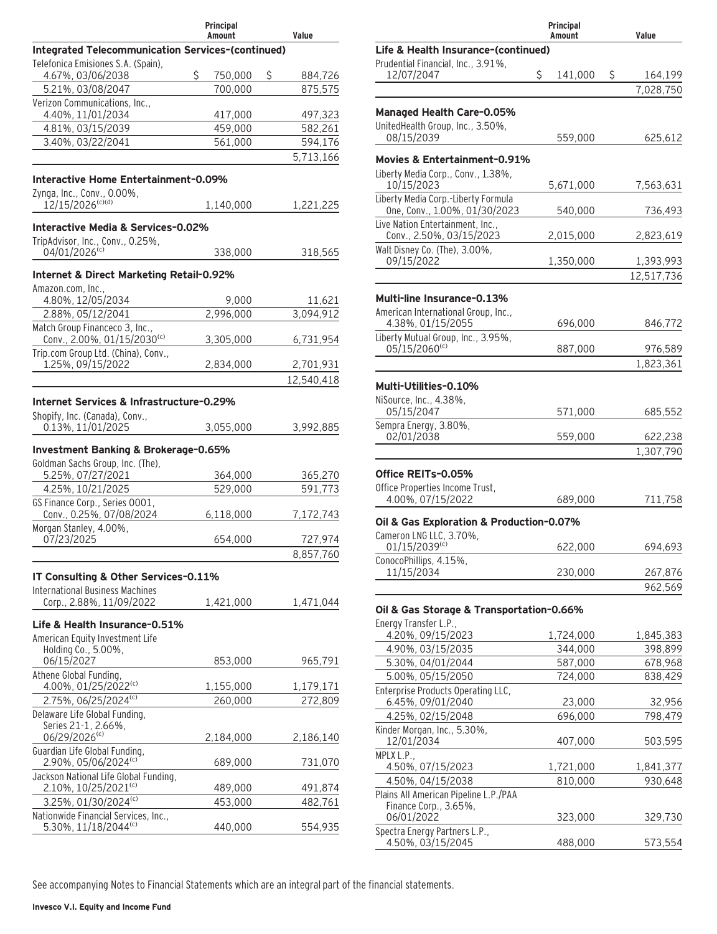|                                                                    | Principal<br>Amount | Value         |
|--------------------------------------------------------------------|---------------------|---------------|
| Integrated Telecommunication Services-(continued)                  |                     |               |
| Telefonica Emisiones S.A. (Spain),                                 |                     |               |
| 4.67%, 03/06/2038                                                  | \$<br>750,000       | \$<br>884,726 |
| 5.21%, 03/08/2047                                                  | 700,000             | 875,575       |
| Verizon Communications, Inc.,<br>4.40%, 11/01/2034                 | 417,000             | 497,323       |
| 4.81%, 03/15/2039                                                  | 459,000             | 582,261       |
| 3.40%, 03/22/2041                                                  | 561,000             | 594,176       |
|                                                                    |                     | 5,713,166     |
|                                                                    |                     |               |
| Interactive Home Entertainment-0.09%                               |                     |               |
| Zynga, Inc., Conv., 0.00%,<br>12/15/2026 <sup>(c)(d)</sup>         |                     |               |
|                                                                    | 1,140,000           | 1,221,225     |
| Interactive Media & Services-0.02%                                 |                     |               |
| TripAdvisor, Inc., Conv., 0.25%,                                   |                     |               |
| $04/01/2026$ <sup>(c)</sup>                                        | 338,000             | 318,565       |
|                                                                    |                     |               |
| Internet & Direct Marketing Retail-0.92%<br>Amazon.com, Inc.,      |                     |               |
| 4.80%, 12/05/2034                                                  | 9,000               | 11,621        |
| 2.88%, 05/12/2041                                                  | 2,996,000           | 3,094,912     |
| Match Group Financeco 3, Inc.,                                     |                     |               |
| Conv., 2.00%, 01/15/2030(c)                                        | 3,305,000           | 6,731,954     |
| Trip.com Group Ltd. (China), Conv.,                                |                     |               |
| 1.25%, 09/15/2022                                                  | 2,834,000           | 2,701,931     |
|                                                                    |                     | 12,540,418    |
| Internet Services & Infrastructure-0.29%                           |                     |               |
| Shopify, Inc. (Canada), Conv.,                                     |                     |               |
| 0.13%, 11/01/2025                                                  | 3,055,000           | 3,992,885     |
|                                                                    |                     |               |
| Investment Banking & Brokerage-0.65%                               |                     |               |
| Goldman Sachs Group, Inc. (The),<br>5.25%, 07/27/2021              | 364,000             | 365,270       |
| 4.25%, 10/21/2025                                                  | 529.000             | 591,773       |
| GS Finance Corp., Series 0001,                                     |                     |               |
| Conv., 0.25%, 07/08/2024                                           | 6,118,000           | 7,172,743     |
| Morgan Stanley, 4.00%,                                             |                     |               |
| 07/23/2025                                                         | 654,000             | 727,974       |
|                                                                    |                     | 8,857,760     |
|                                                                    |                     |               |
| IT Consulting & Other Services-0.11%                               |                     |               |
| <b>International Business Machines</b><br>Corp., 2.88%, 11/09/2022 | 1,421,000           | 1,471,044     |
|                                                                    |                     |               |
| Life & Health Insurance-0.51%                                      |                     |               |
| American Equity Investment Life                                    |                     |               |
| Holding Co., 5.00%,                                                |                     |               |
| 06/15/2027                                                         | 853,000             | 965,791       |
| Athene Global Funding,<br>4.00%, 01/25/2022(c)                     | 1,155,000           | 1,179,171     |
| 2.75%, 06/25/2024(c)                                               | 260.000             | 272,809       |
| Delaware Life Global Funding,                                      |                     |               |
| Series 21-1, 2.66%,                                                |                     |               |
| 06/29/2026(c)                                                      | 2,184,000           | 2,186,140     |
| Guardian Life Global Funding,                                      |                     |               |
| 2.90%, 05/06/2024(c)                                               | 689,000             | 731,070       |
| Jackson National Life Global Funding,                              |                     |               |
| 2.10%, 10/25/2021 <sup>(c)</sup><br>3.25%, 01/30/2024(c)           | 489,000             | 491,874       |
| Nationwide Financial Services, Inc.,                               | 453,000             | 482,761       |
| 5.30%, 11/18/2044(c)                                               | 440,000             | 554,935       |
|                                                                    |                     |               |

|                                                                      | Principal<br>Amount | Value                   |
|----------------------------------------------------------------------|---------------------|-------------------------|
| Life & Health Insurance-(continued)                                  |                     |                         |
| Prudential Financial, Inc., 3.91%,                                   |                     |                         |
| 12/07/2047                                                           | \$<br>141,000       | \$<br>164,199           |
|                                                                      |                     | 7,028,750               |
| <b>Managed Health Care-0.05%</b>                                     |                     |                         |
| UnitedHealth Group, Inc., 3.50%,                                     |                     |                         |
| 08/15/2039                                                           | 559,000             | 625,612                 |
| Movies & Entertainment-0.91%                                         |                     |                         |
| Liberty Media Corp., Conv., 1.38%,                                   |                     |                         |
| 10/15/2023                                                           | 5,671,000           | 7,563,631               |
| Liberty Media Corp.-Liberty Formula<br>One, Conv., 1.00%, 01/30/2023 | 540,000             | 736,493                 |
| Live Nation Entertainment, Inc.,                                     |                     |                         |
| Conv., 2.50%, 03/15/2023                                             | 2,015,000           | 2,823,619               |
| Walt Disney Co. (The), 3.00%,<br>09/15/2022                          |                     |                         |
|                                                                      | 1,350,000           | 1,393,993<br>12,517,736 |
|                                                                      |                     |                         |
| Multi-line Insurance-0.13%                                           |                     |                         |
| American International Group, Inc.,<br>4.38%, 01/15/2055             | 696,000             |                         |
| Liberty Mutual Group, Inc., 3.95%,                                   |                     | 846,772                 |
| 05/15/2060 <sup>(c)</sup>                                            | 887,000             | 976,589                 |
|                                                                      |                     | 1,823,361               |
| Multi-Utilities-0.10%                                                |                     |                         |
| NiSource, Inc., 4.38%,                                               |                     |                         |
| 05/15/2047                                                           | 571,000             | 685,552                 |
| Sempra Energy, 3.80%,                                                |                     |                         |
| 02/01/2038                                                           | 559,000             | 622,238                 |
|                                                                      |                     | 1,307,790               |
| Office REITs-0.05%                                                   |                     |                         |
| Office Properties Income Trust,                                      |                     |                         |
| 4.00%, 07/15/2022                                                    | 689,000             | 711,758                 |
| Oil & Gas Exploration & Production-0.07%                             |                     |                         |
| Cameron LNG LLC, 3.70%,                                              |                     |                         |
| $01/15/2039^{(c)}$                                                   | 622,000             | 694,693                 |
| ConocoPhillips, 4.15%,<br>11/15/2034                                 | 230,000             | 267,876                 |
|                                                                      |                     | 962,569                 |
|                                                                      |                     |                         |
| Oil & Gas Storage & Transportation-0.66%<br>Energy Transfer L.P.,    |                     |                         |
| 4.20%, 09/15/2023                                                    | 1,724,000           | 1,845,383               |
| 4.90%, 03/15/2035                                                    | 344,000             | 398,899                 |
| 5.30%, 04/01/2044                                                    | 587,000             | 678,968                 |
| 5.00%, 05/15/2050                                                    | 724.000             | 838,429                 |
| Enterprise Products Operating LLC,                                   |                     |                         |
| 6.45%, 09/01/2040                                                    | 23,000              | 32,956                  |
| 4.25%, 02/15/2048<br>Kinder Morgan, Inc., 5.30%,                     | 696,000             | 798,479                 |
| 12/01/2034                                                           | 407,000             | 503,595                 |
| MPLX L.P.,                                                           |                     |                         |
| 4.50%, 07/15/2023                                                    | 1,721,000           | 1,841,377               |
| 4.50%, 04/15/2038                                                    | 810,000             | 930,648                 |

Plains All American Pipeline L.P./PAA Finance Corp., 3.65%, 06/01/2022 323,000 329,730 Spectra Energy Partners L.P., 4.50%, 03/15/2045 488,000 573,554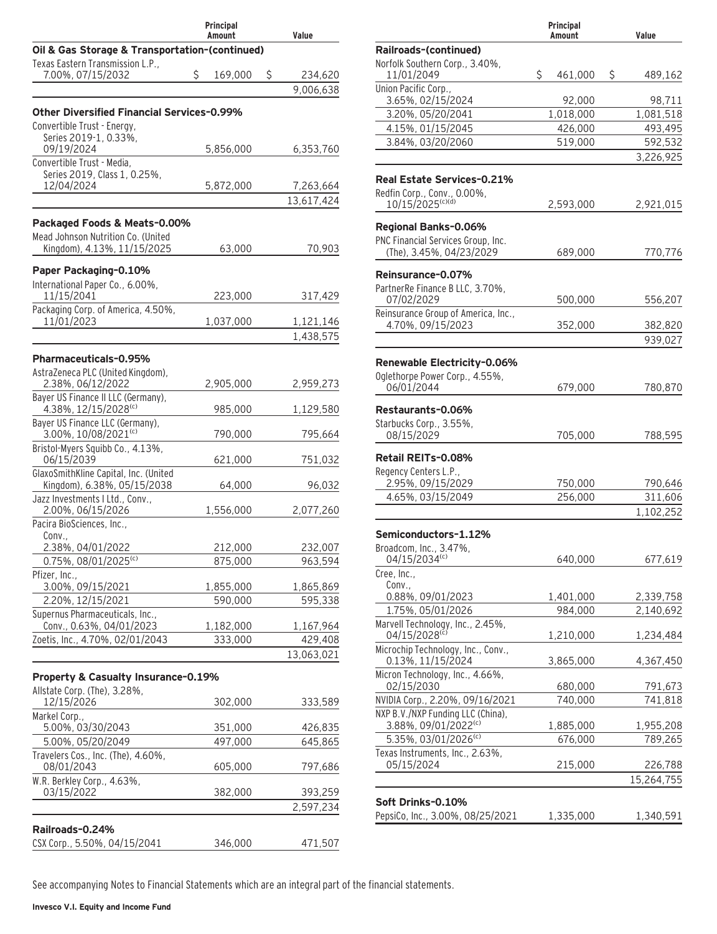|                                                                     |    | Principal<br>Amount |   | Value              |
|---------------------------------------------------------------------|----|---------------------|---|--------------------|
| Oil & Gas Storage & Transportation-(continued)                      |    |                     |   |                    |
| Texas Eastern Transmission L.P.,                                    |    |                     |   |                    |
| 7.00%, 07/15/2032                                                   | Ś. | 169,000             | S | 234,620            |
|                                                                     |    |                     |   | 9,006,638          |
| <b>Other Diversified Financial Services-0.99%</b>                   |    |                     |   |                    |
| Convertible Trust - Energy,<br>Series 2019-1, 0.33%,                |    |                     |   |                    |
| 09/19/2024                                                          |    | 5,856,000           |   | 6,353,760          |
| Convertible Trust - Media,                                          |    |                     |   |                    |
| Series 2019, Class 1, 0.25%,<br>12/04/2024                          |    | 5,872,000           |   | 7,263,664          |
|                                                                     |    |                     |   | 13,617,424         |
| Packaged Foods & Meats-0.00%                                        |    |                     |   |                    |
| Mead Johnson Nutrition Co. (United                                  |    |                     |   |                    |
| Kingdom), 4.13%, 11/15/2025                                         |    | 63,000              |   | 70,903             |
| Paper Packaging-0.10%                                               |    |                     |   |                    |
| International Paper Co., 6.00%,                                     |    |                     |   |                    |
| 11/15/2041                                                          |    | 223,000             |   | 317,429            |
| Packaging Corp. of America, 4.50%,<br>11/01/2023                    |    | 1,037,000           |   | 1,121,146          |
|                                                                     |    |                     |   | 1,438,575          |
|                                                                     |    |                     |   |                    |
| <b>Pharmaceuticals-0.95%</b><br>AstraZeneca PLC (United Kingdom),   |    |                     |   |                    |
| 2.38%, 06/12/2022                                                   |    | 2,905,000           |   | 2,959,273          |
| Bayer US Finance II LLC (Germany),                                  |    |                     |   |                    |
| 4.38%, 12/15/2028 <sup>(c)</sup><br>Bayer US Finance LLC (Germany), |    | 985,000             |   | 1,129,580          |
| 3.00%, 10/08/2021(c)                                                |    | 790,000             |   | 795,664            |
| Bristol-Myers Squibb Co., 4.13%,<br>06/15/2039                      |    |                     |   |                    |
| GlaxoSmithKline Capital, Inc. (United                               |    | 621,000             |   | 751,032            |
| Kingdom), 6.38%, 05/15/2038                                         |    | 64,000              |   | 96,032             |
| Jazz Investments I Ltd., Conv.,<br>2.00%, 06/15/2026                |    |                     |   |                    |
| Pacira BioSciences, Inc.,                                           |    | 1,556,000           |   | 2,077,260          |
| Conv.,                                                              |    |                     |   |                    |
| 2.38%, 04/01/2022                                                   |    | 212,000             |   | 232,007            |
| $0.75\%$ , 08/01/2025 <sup>(c)</sup><br>Pfizer, Inc.,               |    | 875,000             |   | 963,594            |
| 3.00%, 09/15/2021                                                   |    | 1,855,000           |   | 1,865,869          |
| 2.20%, 12/15/2021                                                   |    | 590,000             |   | 595,338            |
| Supernus Pharmaceuticals, Inc.,<br>Conv., 0.63%, 04/01/2023         |    | 1,182,000           |   | 1,167,964          |
| Zoetis, Inc., 4.70%, 02/01/2043                                     |    | 333,000             |   | 429,408            |
|                                                                     |    |                     |   | 13,063,021         |
| Property & Casualty Insurance-0.19%                                 |    |                     |   |                    |
| Allstate Corp. (The), 3.28%,                                        |    |                     |   |                    |
| 12/15/2026                                                          |    | 302,000             |   | 333,589            |
| Markel Corp.,                                                       |    |                     |   |                    |
| 5.00%, 03/30/2043<br>5.00%, 05/20/2049                              |    | 351,000<br>497,000  |   | 426,835<br>645,865 |
| Travelers Cos., Inc. (The), 4.60%,                                  |    |                     |   |                    |
| 08/01/2043                                                          |    | 605,000             |   | 797,686            |
| W.R. Berkley Corp., 4.63%,<br>03/15/2022                            |    | 382,000             |   | 393,259            |
|                                                                     |    |                     |   | 2,597,234          |
|                                                                     |    |                     |   |                    |
| Railroads-0.24%<br>CSX Corp., 5.50%, 04/15/2041                     |    | 346,000             |   | 471,507            |
|                                                                     |    |                     |   |                    |

|                                                   | Principal<br>Amount | Value                  |
|---------------------------------------------------|---------------------|------------------------|
| Railroads-(continued)                             |                     |                        |
| Norfolk Southern Corp., 3.40%,                    |                     |                        |
| 11/01/2049                                        | \$<br>461,000       | \$<br>489,162          |
| Union Pacific Corp                                |                     |                        |
| 3.65%, 02/15/2024                                 | 92,000              | 98,711                 |
| 3.20%, 05/20/2041<br>4.15%, 01/15/2045            | 1,018,000           | 1,081,518<br>493,495   |
| 3.84%, 03/20/2060                                 | 426,000<br>519,000  | 592,532                |
|                                                   |                     | 3,226,925              |
|                                                   |                     |                        |
| Real Estate Services-0.21%                        |                     |                        |
| Redfin Corp., Conv., 0.00%,                       |                     |                        |
| 10/15/2025 <sup>(c)(d)</sup>                      | 2,593,000           | 2,921,015              |
| Regional Banks-0.06%                              |                     |                        |
| PNC Financial Services Group, Inc.                |                     |                        |
| (The), 3.45%, 04/23/2029                          | 689,000             | 770,776                |
| Reinsurance-0.07%                                 |                     |                        |
| PartnerRe Finance B LLC, 3.70%,                   |                     |                        |
| 07/02/2029                                        | 500,000             | 556,207                |
| Reinsurance Group of America, Inc.,               |                     |                        |
| 4.70%, 09/15/2023                                 | 352,000             | 382,820                |
|                                                   |                     | 939,027                |
| Renewable Electricity-0.06%                       |                     |                        |
| Oglethorpe Power Corp., 4.55%,                    |                     |                        |
| 06/01/2044                                        | 679,000             | 780,870                |
| Restaurants-0.06%                                 |                     |                        |
| Starbucks Corp., 3.55%,                           |                     |                        |
| 08/15/2029                                        | 705,000             | 788,595                |
| Retail REITs-0.08%                                |                     |                        |
| Regency Centers L.P.,                             |                     |                        |
| 2.95%, 09/15/2029                                 | 750,000             | 790,646                |
| 4.65%, 03/15/2049                                 | 256,000             | 311,606                |
|                                                   |                     | 1,102,252              |
| Semiconductors-1.12%                              |                     |                        |
| Broadcom, Inc., 3.47%,                            |                     |                        |
| 04/15/2034(c)                                     | 640,000             | 677,619                |
| Cree, Inc.,                                       |                     |                        |
| Conv.,                                            |                     |                        |
| 0.88%, 09/01/2023<br>1.75%, 05/01/2026            | 1,401,000           | 2,339,758<br>2.140.692 |
|                                                   | 984,000             |                        |
| Marvell Technology, Inc., 2.45%,<br>04/15/2028(c) | 1,210,000           | 1,234,484              |
| Microchip Technology, Inc., Conv.,                |                     |                        |
| 0.13%, 11/15/2024                                 | 3,865,000           | 4,367,450              |
| Micron Technology, Inc., 4.66%,                   |                     |                        |
| 02/15/2030<br>NVIDIA Corp., 2.20%, 09/16/2021     | 680,000<br>740,000  | 791,673<br>741,818     |
| NXP B.V./NXP Funding LLC (China),                 |                     |                        |
| 3.88%, 09/01/2022(c)                              | 1,885,000           | 1,955,208              |
| 5.35%, 03/01/2026(c)                              | 676,000             | 789,265                |
| Texas Instruments, Inc., 2.63%,                   |                     |                        |
| 05/15/2024                                        | 215,000             | 226,788                |
|                                                   |                     | 15,264,755             |
| Soft Drinks-0.10%                                 |                     |                        |
| PepsiCo, Inc., 3.00%, 08/25/2021                  | 1,335,000           | 1,340,591              |
|                                                   |                     |                        |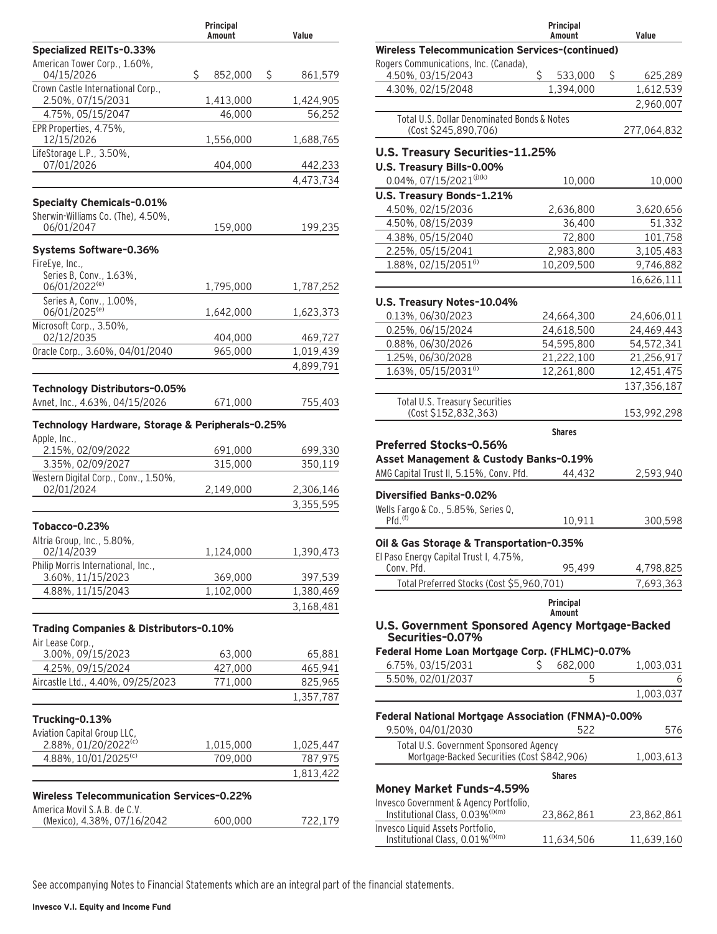|                                                            | Principal<br>Amount | Value         |
|------------------------------------------------------------|---------------------|---------------|
| <b>Specialized REITs-0.33%</b>                             |                     |               |
| American Tower Corp., 1.60%,<br>04/15/2026                 | \$<br>852,000       | \$<br>861,579 |
| Crown Castle International Corp.,                          |                     |               |
| 2.50%, 07/15/2031                                          | 1,413,000           | 1,424,905     |
| 4.75%, 05/15/2047<br>EPR Properties, 4.75%,                | 46,000              | 56,252        |
| 12/15/2026                                                 | 1,556,000           | 1,688,765     |
| LifeStorage L.P., 3.50%,                                   |                     |               |
| 07/01/2026                                                 | 404,000             | 442,233       |
|                                                            |                     | 4,473,734     |
| <b>Specialty Chemicals-0.01%</b>                           |                     |               |
| Sherwin-Williams Co. (The), 4.50%,                         |                     |               |
| 06/01/2047                                                 | 159,000             | 199,235       |
| Systems Software-0.36%                                     |                     |               |
| FireEye, Inc.,                                             |                     |               |
| Series B, Conv., 1.63%,<br>06/01/2022 <sup>(e)</sup>       |                     |               |
|                                                            | 1,795,000           | 1,787,252     |
| Series A, Conv., 1.00%,<br>06/01/2025 <sup>(e)</sup>       | 1,642,000           | 1,623,373     |
| Microsoft Corp., 3.50%,                                    |                     |               |
| 02/12/2035                                                 | 404,000             | 469,727       |
| Oracle Corp., 3.60%, 04/01/2040                            | 965,000             | 1,019,439     |
|                                                            |                     | 4,899,791     |
| Technology Distributors-0.05%                              |                     |               |
| Avnet, Inc., 4.63%, 04/15/2026                             | 671,000             | 755,403       |
| Technology Hardware, Storage & Peripherals-0.25%           |                     |               |
| Apple, Inc.,<br>2.15%, 02/09/2022                          | 691,000             | 699,330       |
| 3.35%, 02/09/2027                                          | 315,000             | 350,119       |
| Western Digital Corp., Conv., 1.50%,                       |                     |               |
| 02/01/2024                                                 | 2,149,000           | 2,306,146     |
|                                                            |                     | 3,355,595     |
| Tobacco-0.23%                                              |                     |               |
| Altria Group, Inc., 5.80%,                                 |                     |               |
| 02/14/2039                                                 | 1,124,000           | 1,390,473     |
| Philip Morris International, Inc.,<br>3.60%, 11/15/2023    | 369,000             | 397,539       |
| 4.88%, 11/15/2043                                          | 1,102,000           | 1,380,469     |
|                                                            |                     | 3,168,481     |
|                                                            |                     |               |
| Trading Companies & Distributors-0.10%<br>Air Lease Corp., |                     |               |
| 3.00%, 09/15/2023                                          | 63,000              | 65,881        |
| 4.25%, 09/15/2024                                          | 427,000             | 465,941       |
| Aircastle Ltd., 4.40%, 09/25/2023                          | 771,000             | 825,965       |
|                                                            |                     | 1,357,787     |
| Trucking-0.13%                                             |                     |               |
| Aviation Capital Group LLC,                                |                     |               |
| 2.88%, 01/20/2022(c)                                       | 1,015,000           | 1,025,447     |
| 4.88%, 10/01/2025(c)                                       | 709,000             | 787,975       |
|                                                            |                     | 1,813,422     |
| Wireless Telecommunication Services-0.22%                  |                     |               |
| America Movil S.A.B. de C.V.                               |                     |               |
| (Mexico), 4.38%, 07/16/2042                                | 600,000             | 722,179       |
|                                                            |                     |               |

|                                                                                                             | Principal<br>Amount | Value                    |
|-------------------------------------------------------------------------------------------------------------|---------------------|--------------------------|
| <b>Wireless Telecommunication Services-(continued)</b>                                                      |                     |                          |
| Rogers Communications, Inc. (Canada),<br>4.50%, 03/15/2043                                                  | \$<br>533,000       | \$<br>625,289            |
| 4.30%, 02/15/2048                                                                                           | 1,394,000           | 1,612,539                |
|                                                                                                             |                     | 2,960,007                |
| Total U.S. Dollar Denominated Bonds & Notes                                                                 |                     |                          |
| (Cost \$245,890,706)                                                                                        |                     | 277,064,832              |
| U.S. Treasury Securities-11.25%<br>U.S. Treasury Bills-0.00%                                                |                     |                          |
| $0.04\%$ , 07/15/2021 <sup>(j)(k)</sup>                                                                     | 10,000              | 10,000                   |
| U.S. Treasury Bonds-1.21%                                                                                   |                     |                          |
| 4.50%, 02/15/2036                                                                                           | 2,636,800           | 3,620,656                |
| 4.50%, 08/15/2039                                                                                           | 36,400              | 51,332                   |
| 4.38%, 05/15/2040                                                                                           | 72,800              | 101,758                  |
| 2.25%, 05/15/2041                                                                                           | 2,983,800           | 3,105,483                |
| 1.88%, 02/15/2051(i)                                                                                        | 10,209,500          | 9,746,882                |
|                                                                                                             |                     | 16,626,111               |
|                                                                                                             |                     |                          |
| U.S. Treasury Notes-10.04%<br>0.13%, 06/30/2023                                                             | 24,664,300          |                          |
| 0.25%, 06/15/2024                                                                                           | 24,618,500          | 24,606,011<br>24,469,443 |
| 0.88%, 06/30/2026                                                                                           | 54,595,800          | 54,572,341               |
| 1.25%, 06/30/2028                                                                                           | 21,222,100          | 21,256,917               |
| 1.63%, 05/15/2031(i)                                                                                        | 12,261,800          | 12,451,475               |
|                                                                                                             |                     | 137, 356, 187            |
| Total U.S. Treasury Securities                                                                              |                     |                          |
| (Cost \$152,832,363)                                                                                        |                     | 153,992,298              |
| Preferred Stocks-0.56%<br>Asset Management & Custody Banks-0.19%<br>AMG Capital Trust II, 5.15%, Conv. Pfd. | 44,432              | 2,593,940                |
| Diversified Banks-0.02%<br>Wells Fargo & Co., 5.85%, Series Q,<br>$Pfd.$ <sup><math>(f)</math></sup>        | 10,911              | 300,598                  |
|                                                                                                             |                     |                          |
| Oil & Gas Storage & Transportation-0.35%<br>El Paso Energy Capital Trust I, 4.75%,                          |                     |                          |
| Conv. Pfd.                                                                                                  | 95,499              | 4,798,825                |
| Total Preferred Stocks (Cost \$5,960,701)                                                                   |                     | 7,693,363                |
|                                                                                                             | Principal<br>Amount |                          |
| U.S. Government Sponsored Agency Mortgage-Backed<br>Securities-0.07%                                        |                     |                          |
| Federal Home Loan Mortgage Corp. (FHLMC)-0.07%                                                              |                     |                          |
| 6.75%, 03/15/2031                                                                                           | Ś<br>682.000        | 1,003,031                |
| 5.50%, 02/01/2037                                                                                           | 5                   | 6                        |
|                                                                                                             |                     | 1,003,037                |
| Federal National Mortgage Association (FNMA)-0.00%                                                          |                     |                          |
| 9.50%, 04/01/2030                                                                                           | 522                 | 576                      |
| Total U.S. Government Sponsored Agency<br>Mortgage-Backed Securities (Cost \$842,906)                       |                     | 1,003,613                |
|                                                                                                             | <b>Shares</b>       |                          |
| Money Market Funds-4.59%                                                                                    |                     |                          |
| Invesco Government & Agency Portfolio,<br>Institutional Class, 0.03% <sup>(I)(m)</sup>                      | 23,862,861          | 23,862,861               |
| Invesco Liquid Assets Portfolio,<br>Institutional Class, 0.01% <sup>(I)(m)</sup>                            | 11,634,506          | 11,639,160               |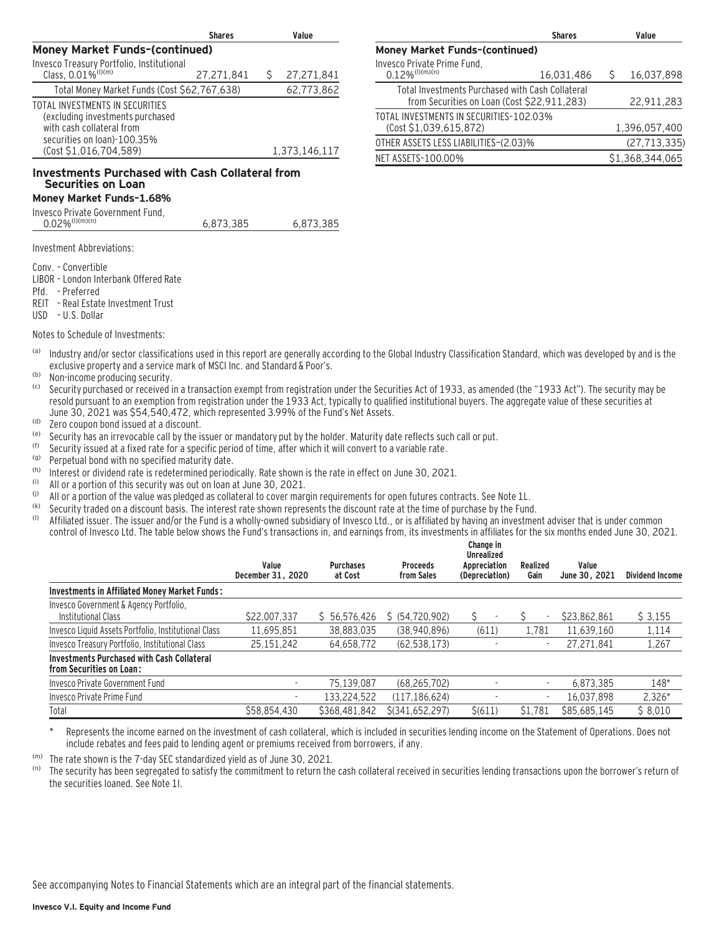|                                                                                                                                                           | <b>Shares</b> | Value         |
|-----------------------------------------------------------------------------------------------------------------------------------------------------------|---------------|---------------|
| <b>Money Market Funds-(continued)</b>                                                                                                                     |               |               |
| Invesco Treasury Portfolio, Institutional<br>Class, 0.01% <sup>(1)(m)</sup>                                                                               |               |               |
|                                                                                                                                                           | 27.271.841    | 27,271,841    |
| Total Money Market Funds (Cost \$62,767,638)                                                                                                              |               | 62,773,862    |
| TOTAL INVESTMENTS IN SECURITIES<br>(excluding investments purchased<br>with cash collateral from<br>securities on loan)-100.35%<br>(Cost \$1,016,704,589) |               | 1,373,146,117 |
|                                                                                                                                                           |               |               |

#### **Investments Purchased with Cash Collateral from Securities on Loan**

### **Money Market Funds–1.68%**

| $0.02\%$ <sup>(I)(m)(n)</sup> | 6.873.385 | 6.873.385 |
|-------------------------------|-----------|-----------|
|                               |           |           |

Investment Abbreviations:

Conv. – Convertible

- LIBOR London Interbank Offered Rate
- Pfd. Preferred
- REIT Real Estate Investment Trust

USD – U.S. Dollar

Notes to Schedule of Investments:

- (a) Industry and/or sector classifications used in this report are generally according to the Global Industry Classification Standard, which was developed by and is the exclusive property and a service mark of MSCI Inc. and Standard & Poor's.
- $\frac{1}{100}$  Non-income producing security.
- Security purchased or received in a transaction exempt from registration under the Securities Act of 1933, as amended (the "1933 Act"). The security may be resold pursuant to an exemption from registration under the 1933 Act, typically to qualified institutional buyers. The aggregate value of these securities at June 30, 2021 was \$54,540,472, which represented 3.99% of the Fund's Net Assets.
- (d) Zero coupon bond issued at a discount.<br>(e) Security has an irreverable call by the is
- (e) Security has an irrevocable call by the issuer or mandatory put by the holder. Maturity date reflects such call or put.<br>(f) Security issued at a fixed rate for a specific period of time, after which it will convert to
- (f) Security issued at a fixed rate for a specific period of time, after which it will convert to a variable rate.<br>(g) Perpetual bond with no specified maturity date
- $\frac{q_0}{r_0}$  Perpetual bond with no specified maturity date.
- (h) Interest or dividend rate is redetermined periodically. Rate shown is the rate in effect on June 30, 2021.
- (i) All or a portion of this security was out on loan at June 30, 2021.
- (i) All or a portion of the value was pledged as collateral to cover margin requirements for open futures contracts. See Note 1L.
- (k) Security traded on a discount basis. The interest rate shown represents the discount rate at the time of purchase by the Fund.<br>(b) Affiliated issuer. The issuer and/or the Fund is a wholly-owned subsidiary of Invesco
- Affiliated issuer. The issuer and/or the Fund is a wholly-owned subsidiary of Invesco Ltd., or is affiliated by having an investment adviser that is under common control of Invesco Ltd. The table below shows the Fund's transactions in, and earnings from, its investments in affiliates for the six months ended June 30, 2021.

|                                                                               |                            |                             |                               | Change in<br><b>Unrealized</b> |                  |                        |                 |
|-------------------------------------------------------------------------------|----------------------------|-----------------------------|-------------------------------|--------------------------------|------------------|------------------------|-----------------|
|                                                                               | Value<br>December 31, 2020 | <b>Purchases</b><br>at Cost | <b>Proceeds</b><br>from Sales | Appreciation<br>(Depreciation) | Realized<br>Gain | Value<br>June 30, 2021 | Dividend Income |
| <b>Investments in Affiliated Money Market Funds:</b>                          |                            |                             |                               |                                |                  |                        |                 |
| Invesco Government & Agency Portfolio,<br>Institutional Class                 | \$22,007,337               | \$5, 56, 576, 426           | \$ (54, 720, 902)             |                                |                  | \$23,862,861           | \$3,155         |
| Invesco Liquid Assets Portfolio, Institutional Class                          | 11,695,851                 | 38.883.035                  | (38,940,896)                  | (611)                          | 1.781            | 11.639.160             | 1,114           |
| Invesco Treasury Portfolio, Institutional Class                               | 25, 151, 242               | 64,658,772                  | (62, 538, 173)                |                                | ٠                | 27.271.841             | 1,267           |
| <b>Investments Purchased with Cash Collateral</b><br>from Securities on Loan: |                            |                             |                               |                                |                  |                        |                 |
| Invesco Private Government Fund                                               | $\overline{\phantom{a}}$   | 75.139.087                  | (68, 265, 702)                |                                |                  | 6,873,385              | 148*            |
| Invesco Private Prime Fund                                                    |                            | 133,224,522                 | (117, 186, 624)               |                                | ٠                | 16,037,898             | $2,326*$        |
| Total                                                                         | \$58,854,430               | \$368,481,842               | $$$ (341,652,297)             | $\frac{\xi(611)}{2}$           | \$1,781          | \$85,685,145           | \$8,010         |

Represents the income earned on the investment of cash collateral, which is included in securities lending income on the Statement of Operations. Does not include rebates and fees paid to lending agent or premiums received from borrowers, if any.

(m) The rate shown is the 7-day SEC standardized yield as of June 30, 2021.

The security has been segregated to satisfy the commitment to return the cash collateral received in securities lending transactions upon the borrower's return of the securities loaned. See Note 1I.

|                                                                                                 | <b>Shares</b> | Value           |
|-------------------------------------------------------------------------------------------------|---------------|-----------------|
| <b>Money Market Funds-(continued)</b>                                                           |               |                 |
| Invesco Private Prime Fund,<br>$0.12\%$ <sup>(I)(m)(n)</sup>                                    | 16,031,486    | 16,037,898      |
| Total Investments Purchased with Cash Collateral<br>from Securities on Loan (Cost \$22,911,283) |               | 22,911,283      |
| TOTAL INVESTMENTS IN SECURITIES-102.03%<br>(Cost \$1,039,615,872)                               |               | 1,396,057,400   |
| OTHER ASSETS LESS LIABILITIES-(2.03)%                                                           |               | (27, 713, 335)  |
| NET ASSETS-100.00%                                                                              |               | \$1.368.344.065 |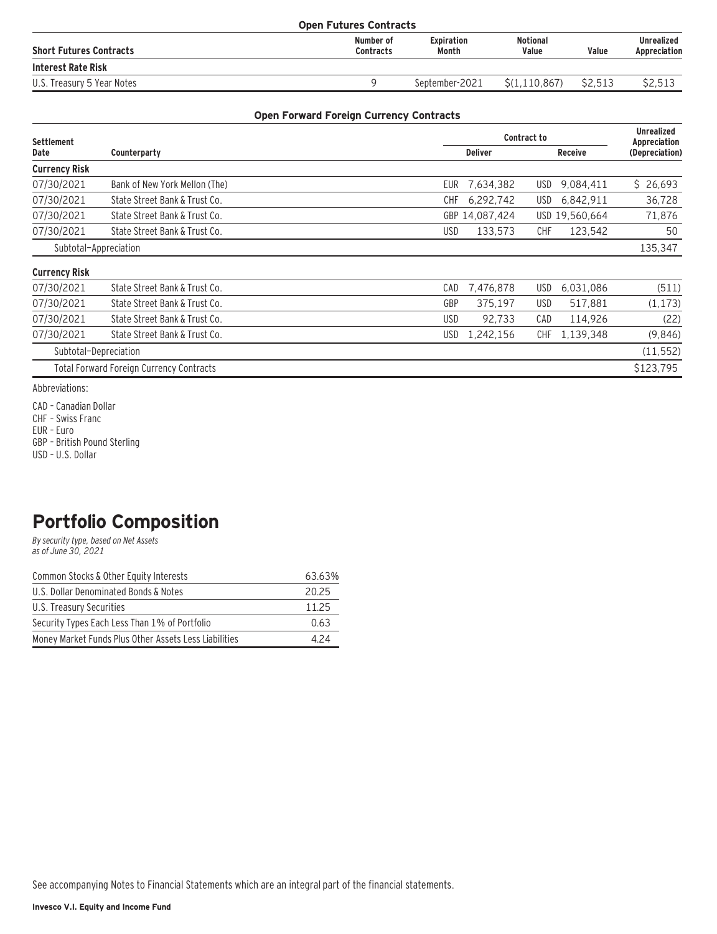| <b>Open Futures Contracts</b>  |                               |                            |                          |         |                            |
|--------------------------------|-------------------------------|----------------------------|--------------------------|---------|----------------------------|
| <b>Short Futures Contracts</b> | Number of<br><b>Contracts</b> | <b>Expiration</b><br>Month | <b>Notional</b><br>Value | Value   | Unrealized<br>Appreciation |
| <b>Interest Rate Risk</b>      |                               |                            |                          |         |                            |
| U.S. Treasury 5 Year Notes     |                               | September-2021             | S(1.110.867)             | \$2.513 | \$2.513                    |

#### **Open Forward Foreign Currency Contracts**

| <b>Settlement</b>     |                                                 |            | <b>Unrealized</b><br>Appreciation |            |                |                |
|-----------------------|-------------------------------------------------|------------|-----------------------------------|------------|----------------|----------------|
| Date                  | Counterparty                                    |            | <b>Deliver</b>                    |            | <b>Receive</b> | (Depreciation) |
| <b>Currency Risk</b>  |                                                 |            |                                   |            |                |                |
| 07/30/2021            | Bank of New York Mellon (The)                   | <b>EUR</b> | 7,634,382                         | USD.       | 9,084,411      | \$26,693       |
| 07/30/2021            | State Street Bank & Trust Co.                   | CHF        | 6,292,742                         | USD        | 6,842,911      | 36,728         |
| 07/30/2021            | State Street Bank & Trust Co.                   |            | GBP 14,087,424                    |            | USD 19,560,664 | 71,876         |
| 07/30/2021            | State Street Bank & Trust Co.                   | USD        | 133,573                           | <b>CHF</b> | 123,542        | 50             |
| Subtotal-Appreciation |                                                 |            |                                   |            |                | 135,347        |
| <b>Currency Risk</b>  |                                                 |            |                                   |            |                |                |
| 07/30/2021            | State Street Bank & Trust Co.                   | CAD        | 7,476,878                         | USD.       | 6,031,086      | (511)          |
| 07/30/2021            | State Street Bank & Trust Co.                   | GBP        | 375,197                           | USD        | 517,881        | (1, 173)       |
| 07/30/2021            | State Street Bank & Trust Co.                   | USD        | 92,733                            | CAD        | 114,926        | (22)           |
| 07/30/2021            | State Street Bank & Trust Co.                   | <b>USD</b> | 1,242,156                         | CHF        | 1,139,348      | (9,846)        |
| Subtotal-Depreciation |                                                 |            |                                   |            |                | (11, 552)      |
|                       | <b>Total Forward Foreign Currency Contracts</b> |            |                                   |            |                | \$123,795      |

Abbreviations:

CAD – Canadian Dollar

CHF – Swiss Franc

EUR – Euro

GBP – British Pound Sterling

USD – U.S. Dollar

## **Portfolio Composition**

By security type, based on Net Assets as of June 30, 2021

| Common Stocks & Other Equity Interests                | 63.63% |
|-------------------------------------------------------|--------|
| U.S. Dollar Denominated Bonds & Notes                 | 20.25  |
| U.S. Treasury Securities                              | 11.25  |
| Security Types Each Less Than 1% of Portfolio         | 0.63   |
| Money Market Funds Plus Other Assets Less Liabilities | 4 2 4  |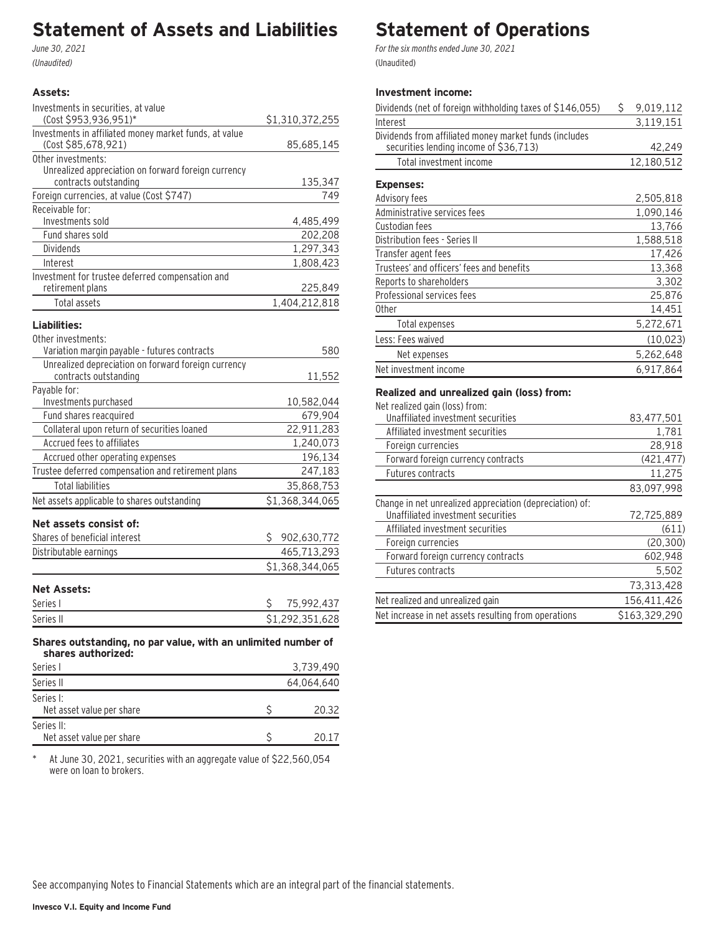### **Statement of Assets and Liabilities**

June 30, 2021 (Unaudited)

#### **Assets:**

| Investments in securities, at value                                                 |                 |
|-------------------------------------------------------------------------------------|-----------------|
| (Cost \$953,936,951)*                                                               | \$1,310,372,255 |
| Investments in affiliated money market funds, at value<br>(Cost \$85,678,921)       | 85,685,145      |
| Other investments:                                                                  |                 |
| Unrealized appreciation on forward foreign currency                                 |                 |
| contracts outstanding                                                               | 135,347         |
| Foreign currencies, at value (Cost \$747)                                           | 749             |
| Receivable for:                                                                     |                 |
| Investments sold                                                                    | 4,485,499       |
| Fund shares sold                                                                    | 202,208         |
| Dividends                                                                           | 1,297,343       |
| Interest                                                                            | 1,808,423       |
| Investment for trustee deferred compensation and<br>retirement plans                | 225,849         |
| Total assets                                                                        | 1,404,212,818   |
| Liabilities:                                                                        |                 |
| Other investments:                                                                  |                 |
| Variation margin payable - futures contracts                                        | 580             |
| Unrealized depreciation on forward foreign currency                                 |                 |
| contracts outstanding                                                               | 11,552          |
| Payable for:                                                                        |                 |
| Investments purchased                                                               | 10,582,044      |
| Fund shares reacquired                                                              | 679,904         |
| Collateral upon return of securities loaned                                         | 22,911,283      |
| Accrued fees to affiliates                                                          | 1,240,073       |
| Accrued other operating expenses                                                    | 196,134         |
| Trustee deferred compensation and retirement plans                                  | 247,183         |
| <b>Total liabilities</b>                                                            | 35,868,753      |
| Net assets applicable to shares outstanding                                         | \$1,368,344,065 |
| Net assets consist of:                                                              |                 |
| Shares of beneficial interest                                                       | \$902,630,772   |
| Distributable earnings                                                              | 465,713,293     |
|                                                                                     | \$1,368,344,065 |
| <b>Net Assets:</b>                                                                  |                 |
| Series I                                                                            | 75,992,437<br>Ş |
| Series II                                                                           | \$1,292,351,628 |
| Shares outstanding, no par value, with an unlimited number of<br>shares authorized: |                 |

| Series I                                | 3,739,490  |
|-----------------------------------------|------------|
| Series II                               | 64,064,640 |
| Series I:<br>Net asset value per share  | 20.32      |
| Series II:<br>Net asset value per share | 20.17      |

\* At June 30, 2021, securities with an aggregate value of \$22,560,054 were on loan to brokers.

## **Statement of Operations**

For the six months ended June 30, 2021 (Unaudited)

### **Investment income:**

| Dividends (net of foreign withholding taxes of \$146,055)                                        | \$<br>9,019,112 |
|--------------------------------------------------------------------------------------------------|-----------------|
| Interest                                                                                         | 3,119,151       |
| Dividends from affiliated money market funds (includes<br>securities lending income of \$36,713) | 42,249          |
| Total investment income                                                                          | 12,180,512      |
| <b>Expenses:</b>                                                                                 |                 |
| Advisory fees                                                                                    | 2,505,818       |
| Administrative services fees                                                                     | 1,090,146       |
| Custodian fees                                                                                   | 13,766          |
| Distribution fees - Series II                                                                    | 1,588,518       |
| Transfer agent fees                                                                              | 17,426          |
| Trustees' and officers' fees and benefits                                                        | 13,368          |
| Reports to shareholders                                                                          | 3,302           |
| Professional services fees                                                                       | 25,876          |
| <b>Other</b>                                                                                     | 14,451          |
| Total expenses                                                                                   | 5,272,671       |
| Less: Fees waived                                                                                | (10, 023)       |
| Net expenses                                                                                     | 5,262,648       |
| Net investment income                                                                            | 6,917,864       |

#### **Realized and unrealized gain (loss) from:**

Net realized gain (loss) from:

| Unaffiliated investment securities                       | 83,477,501    |
|----------------------------------------------------------|---------------|
| Affiliated investment securities                         | 1,781         |
| Foreign currencies                                       | 28,918        |
| Forward foreign currency contracts                       | (421, 477)    |
| <b>Futures contracts</b>                                 | 11,275        |
|                                                          | 83.097.998    |
| Change in net unrealized appreciation (depreciation) of: |               |
| Unaffiliated investment securities                       | 72,725,889    |
| Affiliated investment securities                         | (611)         |
| Foreign currencies                                       | (20, 300)     |
| Forward foreign currency contracts                       | 602,948       |
| Futures contracts                                        | 5,502         |
|                                                          | 73,313,428    |
| Net realized and unrealized gain                         | 156,411,426   |
| Net increase in net assets resulting from operations     | \$163.329.290 |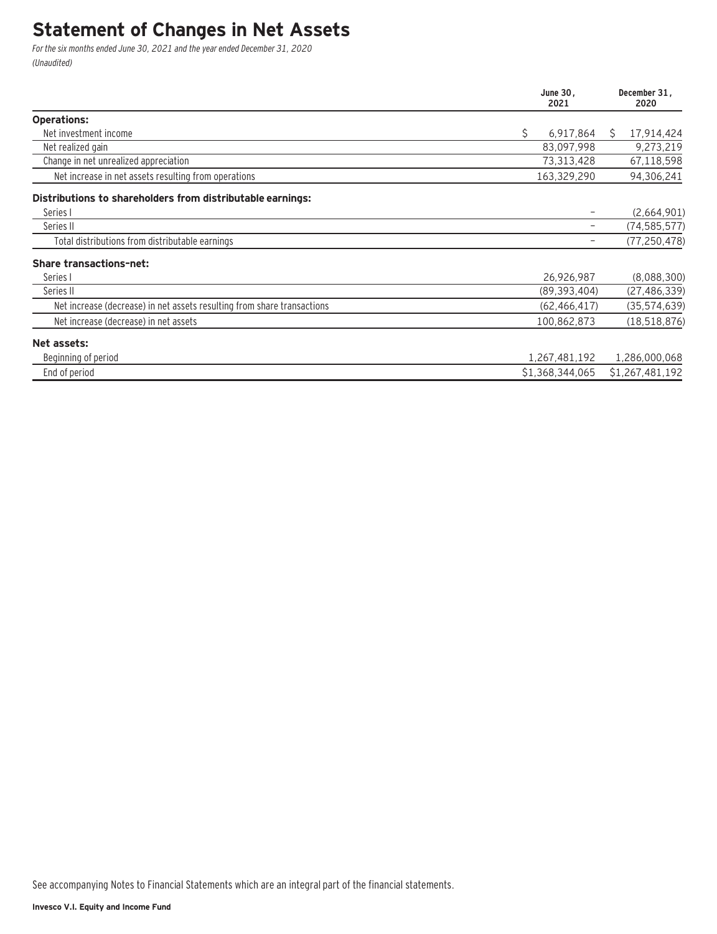### **Statement of Changes in Net Assets**

For the six months ended June 30, 2021 and the year ended December 31, 2020 (Unaudited)

|                                                                         | June 30,<br>2021 | December 31,<br>2020 |
|-------------------------------------------------------------------------|------------------|----------------------|
| <b>Operations:</b>                                                      |                  |                      |
| Net investment income                                                   | \$<br>6,917,864  | 17,914,424<br>Ŝ.     |
| Net realized gain                                                       | 83,097,998       | 9,273,219            |
| Change in net unrealized appreciation                                   | 73,313,428       | 67,118,598           |
| Net increase in net assets resulting from operations                    | 163,329,290      | 94,306,241           |
| Distributions to shareholders from distributable earnings:              |                  |                      |
| Series I                                                                |                  | (2,664,901)          |
| Series II                                                               | -                | (74, 585, 577)       |
| Total distributions from distributable earnings                         |                  | (77, 250, 478)       |
| <b>Share transactions-net:</b>                                          |                  |                      |
| Series I                                                                | 26,926,987       | (8,088,300)          |
| Series II                                                               | (89, 393, 404)   | (27, 486, 339)       |
| Net increase (decrease) in net assets resulting from share transactions | (62, 466, 417)   | (35, 574, 639)       |
| Net increase (decrease) in net assets                                   | 100,862,873      | (18, 518, 876)       |
| Net assets:                                                             |                  |                      |
| Beginning of period                                                     | 1,267,481,192    | 1,286,000,068        |
| End of period                                                           | \$1,368,344,065  | \$1,267,481,192      |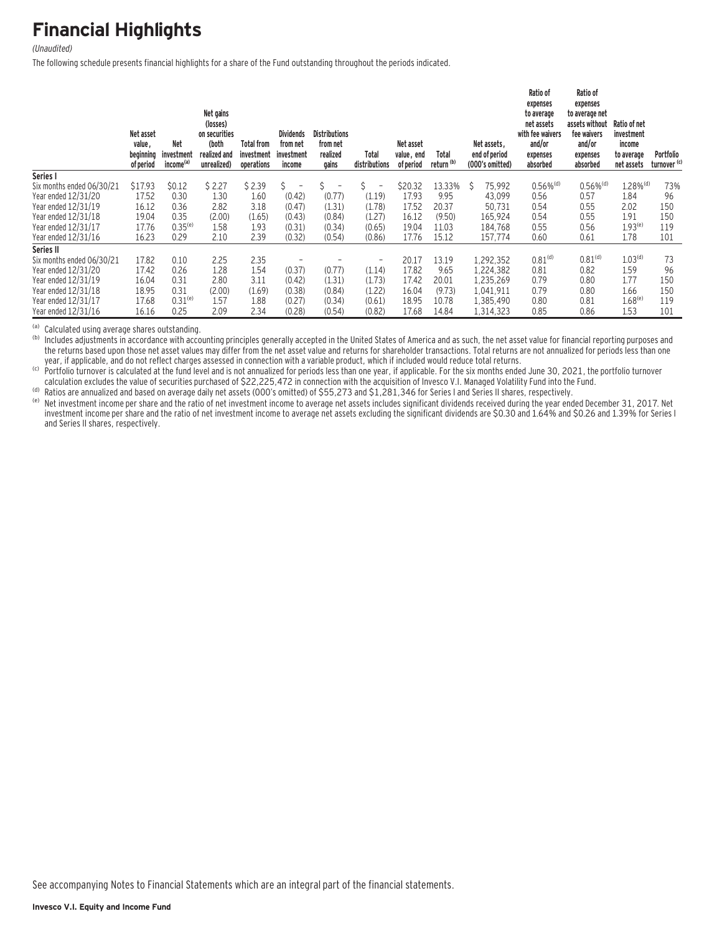## **Financial Highlights**

#### (Unaudited)

The following schedule presents financial highlights for a share of the Fund outstanding throughout the periods indicated.

|                           | Net asset<br>value,<br>beginning<br>of period | Net<br>investment<br>income <sup>(a)</sup> | Net gains<br>(losses)<br>on securities<br>(both<br>realized and<br>unrealized) | Total from<br>investment<br>operations | <b>Dividends</b><br>from net<br>investment<br>income | <b>Distributions</b><br>from net<br>realized<br>gains | Total<br>distributions        | Net asset<br>value, end<br>of period | Total<br>return <sup>(b)</sup> |   | Net assets.<br>end of period<br>(000's omitted) | Ratio of<br>expenses<br>to average<br>net assets<br>with fee waivers<br>and/or<br>expenses<br>absorbed | Ratio of<br>expenses<br>to average net<br>assets without<br>fee waivers<br>and/or<br>expenses<br>absorbed | Ratio of net<br>investment<br>income<br>to average<br>net assets | Portfolio<br>turnover <sup>(c)</sup> |
|---------------------------|-----------------------------------------------|--------------------------------------------|--------------------------------------------------------------------------------|----------------------------------------|------------------------------------------------------|-------------------------------------------------------|-------------------------------|--------------------------------------|--------------------------------|---|-------------------------------------------------|--------------------------------------------------------------------------------------------------------|-----------------------------------------------------------------------------------------------------------|------------------------------------------------------------------|--------------------------------------|
| Series I                  |                                               |                                            |                                                                                |                                        |                                                      |                                                       |                               |                                      |                                |   |                                                 |                                                                                                        |                                                                                                           |                                                                  |                                      |
| Six months ended 06/30/21 | \$17.93                                       | \$0.12                                     | \$2.27                                                                         | \$2.39                                 | Ŝ.<br>$\overline{a}$                                 |                                                       | Ś<br>$\overline{\phantom{0}}$ | \$20.32                              | 13.33%                         | Ŝ | 75,992                                          | $0.56\%$ <sup>(d)</sup>                                                                                | $0.56\%$ <sup>(d)</sup>                                                                                   | $1.28\%$ <sup>(d)</sup>                                          | 73%                                  |
| Year ended 12/31/20       | 17.52                                         | 0.30                                       | 1.30                                                                           | 1.60                                   | (0.42)                                               | (0.77)                                                | (1.19)                        | 17.93                                | 9.95                           |   | 43.099                                          | 0.56                                                                                                   | 0.57                                                                                                      | 1.84                                                             | 96                                   |
| Year ended 12/31/19       | 16.12                                         | 0.36                                       | 2.82                                                                           | 3.18                                   | (0.47)                                               | (1.31)                                                | (1.78)                        | 17.52                                | 20.37                          |   | 50.731                                          | 0.54                                                                                                   | 0.55                                                                                                      | 2.02                                                             | 150                                  |
| Year ended 12/31/18       | 19.04                                         | 0.35                                       | (2.00)                                                                         | (1.65)                                 | (0.43)                                               | (0.84)                                                | (1.27)                        | 16.12                                | (9.50)                         |   | 165.924                                         | 0.54                                                                                                   | 0.55                                                                                                      | 1.91                                                             | 150                                  |
| Year ended 12/31/17       | 17.76                                         | $0.35^{(e)}$                               | 1.58                                                                           | 1.93                                   | (0.31)                                               | (0.34)                                                | (0.65)                        | 19.04                                | 11.03                          |   | 184.768                                         | 0.55                                                                                                   | 0.56                                                                                                      | $1.93^{(e)}$                                                     | 119                                  |
| Year ended 12/31/16       | 16.23                                         | 0.29                                       | 2.10                                                                           | 2.39                                   | (0.32)                                               | (0.54)                                                | (0.86)                        | 17.76                                | 15.12                          |   | 157,774                                         | 0.60                                                                                                   | 0.61                                                                                                      | 1.78                                                             | 101                                  |
| Series II                 |                                               |                                            |                                                                                |                                        |                                                      |                                                       |                               |                                      |                                |   |                                                 |                                                                                                        |                                                                                                           |                                                                  |                                      |
| Six months ended 06/30/21 | 17.82                                         | 0.10                                       | 2.25                                                                           | 2.35                                   |                                                      |                                                       | $\overline{\phantom{0}}$      | 20.17                                | 13.19                          |   | 1,292,352                                       | 0.81 <sup>(d)</sup>                                                                                    | 0.81 <sup>(d)</sup>                                                                                       | 1.03 <sup>(d)</sup>                                              | 73                                   |
| Year ended 12/31/20       | 17.42                                         | 0.26                                       | 1.28                                                                           | 1.54                                   | (0.37)                                               | (0.77)                                                | (1.14)                        | 17.82                                | 9.65                           |   | 1,224,382                                       | 0.81                                                                                                   | 0.82                                                                                                      | 1.59                                                             | 96                                   |
| Year ended 12/31/19       | 16.04                                         | 0.31                                       | 2.80                                                                           | 3.11                                   | (0.42)                                               | (1.31)                                                | (1.73)                        | 17.42                                | 20.01                          |   | 1,235,269                                       | 0.79                                                                                                   | 0.80                                                                                                      | 1.77                                                             | 150                                  |
| Year ended 12/31/18       | 18.95                                         | 0.31                                       | (2.00)                                                                         | (1.69)                                 | (0.38)                                               | (0.84)                                                | (1.22)                        | 16.04                                | (9.73)                         |   | 1,041,911                                       | 0.79                                                                                                   | 0.80                                                                                                      | 1.66                                                             | 150                                  |
| Year ended 12/31/17       | 17.68                                         | $0.31^{(e)}$                               | 1.57                                                                           | 1.88                                   | (0.27)                                               | (0.34)                                                | (0.61)                        | 18.95                                | 10.78                          |   | 1,385,490                                       | 0.80                                                                                                   | 0.81                                                                                                      | $1.68^{(e)}$                                                     | 119                                  |
| Year ended 12/31/16       | 16.16                                         | 0.25                                       | 2.09                                                                           | 2.34                                   | (0.28)                                               | (0.54)                                                | (0.82)                        | 17.68                                | 14.84                          |   | 1,314,323                                       | 0.85                                                                                                   | 0.86                                                                                                      | 1.53                                                             | 101                                  |

(a) Calculated using average shares outstanding.<br>(b) Includes adjustments in accordance with accounting principles generally accepted in the United States of America and as such, the net asset value for financial reporting the returns based upon those net asset values may differ from the net asset value and returns for shareholder transactions. Total returns are not annualized for periods less than one year, if applicable, and do not reflect

exactly in the state product with the acquisition of Investor. The six months ended Video Cold Video Cold Video Cold Video Cold Video 20, 2021, the portfolio turnover<br>Cold Dunne State State of Securities purchased of \$22,2

(d) Ratios are annualized and based on average daily net assets (OOO's omitted) of \$55,273 and \$1,281,346 for Series I and Series II shares, respectively.<br>(e) Net investment income per share and the ratio of net investment investment income per share and the ratio of net investment income to average net assets excluding the significant dividends are \$0.30 and 1.64% and \$0.26 and 1.39% for Series I and Series II shares, respectively.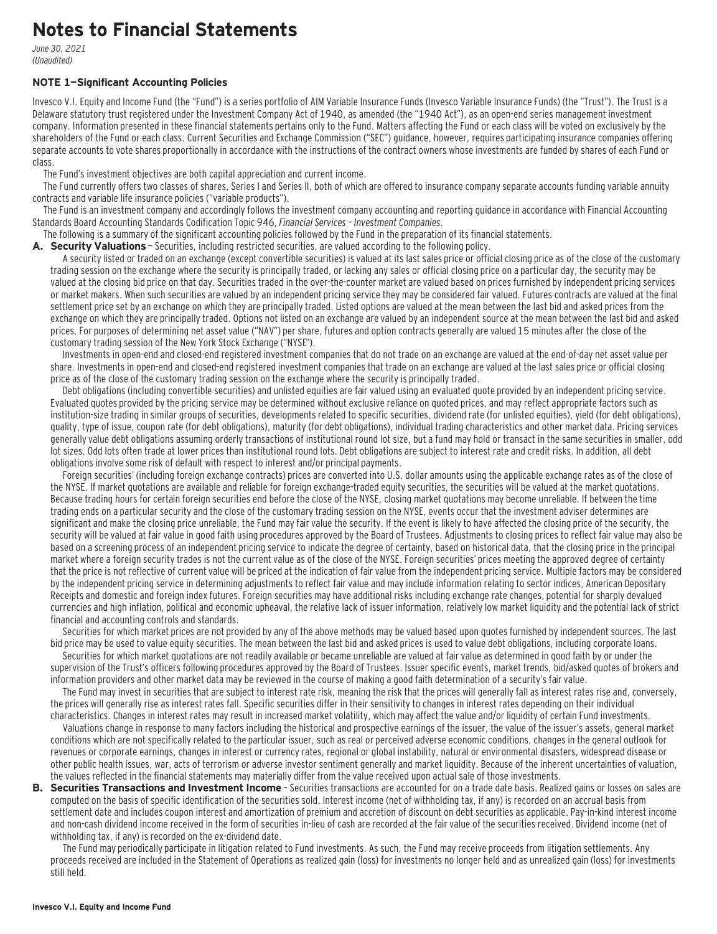### **Notes to Financial Statements**

June 30, 2021 (Unaudited)

#### **NOTE 1—Significant Accounting Policies**

Invesco V.I. Equity and Income Fund (the "Fund") is a series portfolio of AIM Variable Insurance Funds (Invesco Variable Insurance Funds) (the "Trust"). The Trust is a Delaware statutory trust registered under the Investment Company Act of 1940, as amended (the "1940 Act"), as an open-end series management investment company. Information presented in these financial statements pertains only to the Fund. Matters affecting the Fund or each class will be voted on exclusively by the shareholders of the Fund or each class. Current Securities and Exchange Commission ("SEC") guidance, however, requires participating insurance companies offering separate accounts to vote shares proportionally in accordance with the instructions of the contract owners whose investments are funded by shares of each Fund or class.

The Fund's investment objectives are both capital appreciation and current income.

The Fund currently offers two classes of shares, Series I and Series II, both of which are offered to insurance company separate accounts funding variable annuity contracts and variable life insurance policies ("variable products").

The Fund is an investment company and accordingly follows the investment company accounting and reporting guidance in accordance with Financial Accounting Standards Board Accounting Standards Codification Topic 946, Financial Services – Investment Companies.

The following is a summary of the significant accounting policies followed by the Fund in the preparation of its financial statements.

**A. Security Valuations** — Securities, including restricted securities, are valued according to the following policy.

A security listed or traded on an exchange (except convertible securities) is valued at its last sales price or official closing price as of the close of the customary trading session on the exchange where the security is principally traded, or lacking any sales or official closing price on a particular day, the security may be valued at the closing bid price on that day. Securities traded in the over-the-counter market are valued based on prices furnished by independent pricing services or market makers. When such securities are valued by an independent pricing service they may be considered fair valued. Futures contracts are valued at the final settlement price set by an exchange on which they are principally traded. Listed options are valued at the mean between the last bid and asked prices from the exchange on which they are principally traded. Options not listed on an exchange are valued by an independent source at the mean between the last bid and asked prices. For purposes of determining net asset value ("NAV") per share, futures and option contracts generally are valued 15 minutes after the close of the customary trading session of the New York Stock Exchange ("NYSE").

Investments in open-end and closed-end registered investment companies that do not trade on an exchange are valued at the end-of-day net asset value per share. Investments in open-end and closed-end registered investment companies that trade on an exchange are valued at the last sales price or official closing price as of the close of the customary trading session on the exchange where the security is principally traded.

Debt obligations (including convertible securities) and unlisted equities are fair valued using an evaluated quote provided by an independent pricing service. Evaluated quotes provided by the pricing service may be determined without exclusive reliance on quoted prices, and may reflect appropriate factors such as institution-size trading in similar groups of securities, developments related to specific securities, dividend rate (for unlisted equities), yield (for debt obligations), quality, type of issue, coupon rate (for debt obligations), maturity (for debt obligations), individual trading characteristics and other market data. Pricing services generally value debt obligations assuming orderly transactions of institutional round lot size, but a fund may hold or transact in the same securities in smaller, odd lot sizes. Odd lots often trade at lower prices than institutional round lots. Debt obligations are subject to interest rate and credit risks. In addition, all debt obligations involve some risk of default with respect to interest and/or principal payments.

Foreign securities' (including foreign exchange contracts) prices are converted into U.S. dollar amounts using the applicable exchange rates as of the close of the NYSE. If market quotations are available and reliable for foreign exchange-traded equity securities, the securities will be valued at the market quotations. Because trading hours for certain foreign securities end before the close of the NYSE, closing market quotations may become unreliable. If between the time trading ends on a particular security and the close of the customary trading session on the NYSE, events occur that the investment adviser determines are significant and make the closing price unreliable, the Fund may fair value the security. If the event is likely to have affected the closing price of the security, the security will be valued at fair value in good faith using procedures approved by the Board of Trustees. Adjustments to closing prices to reflect fair value may also be based on a screening process of an independent pricing service to indicate the degree of certainty, based on historical data, that the closing price in the principal market where a foreign security trades is not the current value as of the close of the NYSE. Foreign securities' prices meeting the approved degree of certainty that the price is not reflective of current value will be priced at the indication of fair value from the independent pricing service. Multiple factors may be considered by the independent pricing service in determining adjustments to reflect fair value and may include information relating to sector indices, American Depositary Receipts and domestic and foreign index futures. Foreign securities may have additional risks including exchange rate changes, potential for sharply devalued currencies and high inflation, political and economic upheaval, the relative lack of issuer information, relatively low market liquidity and the potential lack of strict financial and accounting controls and standards.

Securities for which market prices are not provided by any of the above methods may be valued based upon quotes furnished by independent sources. The last bid price may be used to value equity securities. The mean between the last bid and asked prices is used to value debt obligations, including corporate loans.

Securities for which market quotations are not readily available or became unreliable are valued at fair value as determined in good faith by or under the supervision of the Trust's officers following procedures approved by the Board of Trustees. Issuer specific events, market trends, bid/asked quotes of brokers and information providers and other market data may be reviewed in the course of making a good faith determination of a security's fair value.

The Fund may invest in securities that are subject to interest rate risk, meaning the risk that the prices will generally fall as interest rates rise and, conversely, the prices will generally rise as interest rates fall. Specific securities differ in their sensitivity to changes in interest rates depending on their individual characteristics. Changes in interest rates may result in increased market volatility, which may affect the value and/or liquidity of certain Fund investments.

Valuations change in response to many factors including the historical and prospective earnings of the issuer, the value of the issuer's assets, general market conditions which are not specifically related to the particular issuer, such as real or perceived adverse economic conditions, changes in the general outlook for revenues or corporate earnings, changes in interest or currency rates, regional or global instability, natural or environmental disasters, widespread disease or other public health issues, war, acts of terrorism or adverse investor sentiment generally and market liquidity. Because of the inherent uncertainties of valuation, the values reflected in the financial statements may materially differ from the value received upon actual sale of those investments.

**B. Securities Transactions and Investment Income** - Securities transactions are accounted for on a trade date basis. Realized gains or losses on sales are computed on the basis of specific identification of the securities sold. Interest income (net of withholding tax, if any) is recorded on an accrual basis from settlement date and includes coupon interest and amortization of premium and accretion of discount on debt securities as applicable. Pay-in-kind interest income and non-cash dividend income received in the form of securities in-lieu of cash are recorded at the fair value of the securities received. Dividend income (net of withholding tax, if any) is recorded on the ex-dividend date.

The Fund may periodically participate in litigation related to Fund investments. As such, the Fund may receive proceeds from litigation settlements. Any proceeds received are included in the Statement of Operations as realized gain (loss) for investments no longer held and as unrealized gain (loss) for investments still held.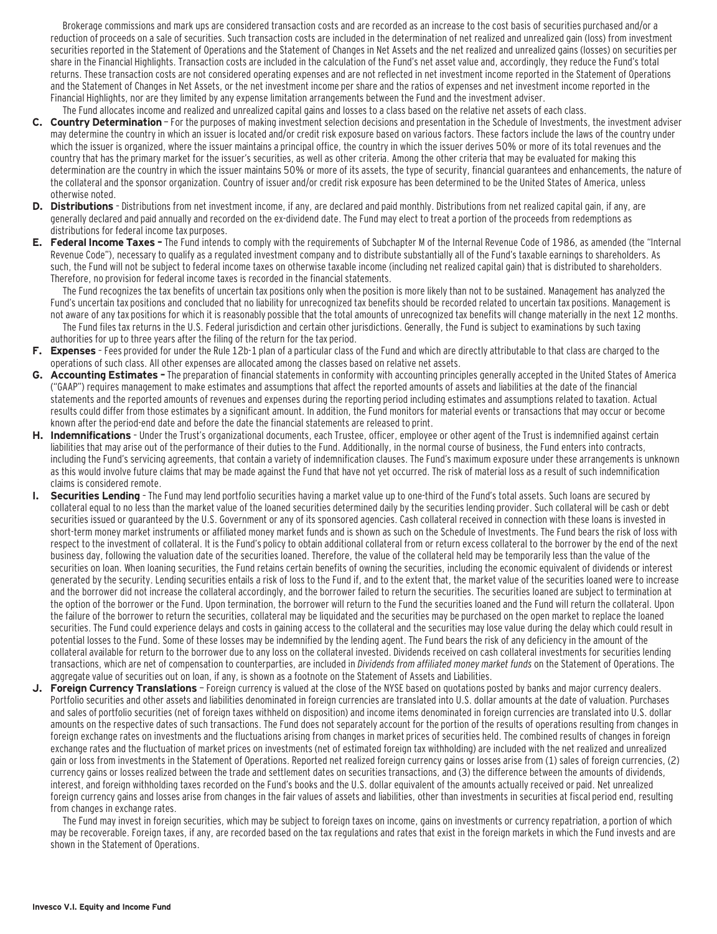Brokerage commissions and mark ups are considered transaction costs and are recorded as an increase to the cost basis of securities purchased and/or a reduction of proceeds on a sale of securities. Such transaction costs are included in the determination of net realized and unrealized gain (loss) from investment securities reported in the Statement of Operations and the Statement of Changes in Net Assets and the net realized and unrealized gains (losses) on securities per share in the Financial Highlights. Transaction costs are included in the calculation of the Fund's net asset value and, accordingly, they reduce the Fund's total returns. These transaction costs are not considered operating expenses and are not reflected in net investment income reported in the Statement of Operations and the Statement of Changes in Net Assets, or the net investment income per share and the ratios of expenses and net investment income reported in the Financial Highlights, nor are they limited by any expense limitation arrangements between the Fund and the investment adviser.

- The Fund allocates income and realized and unrealized capital gains and losses to a class based on the relative net assets of each class. **C. Country Determination** — For the purposes of making investment selection decisions and presentation in the Schedule of Investments, the investment adviser may determine the country in which an issuer is located and/or credit risk exposure based on various factors. These factors include the laws of the country under which the issuer is organized, where the issuer maintains a principal office, the country in which the issuer derives 50% or more of its total revenues and the country that has the primary market for the issuer's securities, as well as other criteria. Among the other criteria that may be evaluated for making this determination are the country in which the issuer maintains 50% or more of its assets, the type of security, financial guarantees and enhancements, the nature of the collateral and the sponsor organization. Country of issuer and/or credit risk exposure has been determined to be the United States of America, unless otherwise noted.
- **D. Distributions**  Distributions from net investment income, if any, are declared and paid monthly. Distributions from net realized capital gain, if any, are generally declared and paid annually and recorded on the ex-dividend date. The Fund may elect to treat a portion of the proceeds from redemptions as distributions for federal income tax purposes.
- **E. Federal Income Taxes** The Fund intends to comply with the requirements of Subchapter M of the Internal Revenue Code of 1986, as amended (the "Internal Revenue Code"), necessary to qualify as a regulated investment company and to distribute substantially all of the Fund's taxable earnings to shareholders. As such, the Fund will not be subject to federal income taxes on otherwise taxable income (including net realized capital gain) that is distributed to shareholders. Therefore, no provision for federal income taxes is recorded in the financial statements.

The Fund recognizes the tax benefits of uncertain tax positions only when the position is more likely than not to be sustained. Management has analyzed the Fund's uncertain tax positions and concluded that no liability for unrecognized tax benefits should be recorded related to uncertain tax positions. Management is not aware of any tax positions for which it is reasonably possible that the total amounts of unrecognized tax benefits will change materially in the next 12 months. The Fund files tax returns in the U.S. Federal jurisdiction and certain other jurisdictions. Generally, the Fund is subject to examinations by such taxing authorities for up to three years after the filing of the return for the tax period.

- **F. Expenses**  Fees provided for under the Rule 12b-1 plan of a particular class of the Fund and which are directly attributable to that class are charged to the operations of such class. All other expenses are allocated among the classes based on relative net assets.
- **G. Accounting Estimates** The preparation of financial statements in conformity with accounting principles generally accepted in the United States of America ("GAAP") requires management to make estimates and assumptions that affect the reported amounts of assets and liabilities at the date of the financial statements and the reported amounts of revenues and expenses during the reporting period including estimates and assumptions related to taxation. Actual results could differ from those estimates by a significant amount. In addition, the Fund monitors for material events or transactions that may occur or become known after the period-end date and before the date the financial statements are released to print.
- **H. Indemnifications**  Under the Trust's organizational documents, each Trustee, officer, employee or other agent of the Trust is indemnified against certain liabilities that may arise out of the performance of their duties to the Fund. Additionally, in the normal course of business, the Fund enters into contracts, including the Fund's servicing agreements, that contain a variety of indemnification clauses. The Fund's maximum exposure under these arrangements is unknown as this would involve future claims that may be made against the Fund that have not yet occurred. The risk of material loss as a result of such indemnification claims is considered remote.
- **I. Securities Lending**  The Fund may lend portfolio securities having a market value up to one-third of the Fund's total assets. Such loans are secured by collateral equal to no less than the market value of the loaned securities determined daily by the securities lending provider. Such collateral will be cash or debt securities issued or guaranteed by the U.S. Government or any of its sponsored agencies. Cash collateral received in connection with these loans is invested in short-term money market instruments or affiliated money market funds and is shown as such on the Schedule of Investments. The Fund bears the risk of loss with respect to the investment of collateral. It is the Fund's policy to obtain additional collateral from or return excess collateral to the borrower by the end of the next business day, following the valuation date of the securities loaned. Therefore, the value of the collateral held may be temporarily less than the value of the securities on loan. When loaning securities, the Fund retains certain benefits of owning the securities, including the economic equivalent of dividends or interest generated by the security. Lending securities entails a risk of loss to the Fund if, and to the extent that, the market value of the securities loaned were to increase and the borrower did not increase the collateral accordingly, and the borrower failed to return the securities. The securities loaned are subject to termination at the option of the borrower or the Fund. Upon termination, the borrower will return to the Fund the securities loaned and the Fund will return the collateral. Upon the failure of the borrower to return the securities, collateral may be liquidated and the securities may be purchased on the open market to replace the loaned securities. The Fund could experience delays and costs in gaining access to the collateral and the securities may lose value during the delay which could result in potential losses to the Fund. Some of these losses may be indemnified by the lending agent. The Fund bears the risk of any deficiency in the amount of the collateral available for return to the borrower due to any loss on the collateral invested. Dividends received on cash collateral investments for securities lending transactions, which are net of compensation to counterparties, are included in Dividends from affiliated money market funds on the Statement of Operations. The aggregate value of securities out on loan, if any, is shown as a footnote on the Statement of Assets and Liabilities.
- **J. Foreign Currency Translations**  Foreign currency is valued at the close of the NYSE based on quotations posted by banks and major currency dealers. Portfolio securities and other assets and liabilities denominated in foreign currencies are translated into U.S. dollar amounts at the date of valuation. Purchases and sales of portfolio securities (net of foreign taxes withheld on disposition) and income items denominated in foreign currencies are translated into U.S. dollar amounts on the respective dates of such transactions. The Fund does not separately account for the portion of the results of operations resulting from changes in foreign exchange rates on investments and the fluctuations arising from changes in market prices of securities held. The combined results of changes in foreign exchange rates and the fluctuation of market prices on investments (net of estimated foreign tax withholding) are included with the net realized and unrealized gain or loss from investments in the Statement of Operations. Reported net realized foreign currency gains or losses arise from (1) sales of foreign currencies, (2) currency gains or losses realized between the trade and settlement dates on securities transactions, and (3) the difference between the amounts of dividends, interest, and foreign withholding taxes recorded on the Fund's books and the U.S. dollar equivalent of the amounts actually received or paid. Net unrealized foreign currency gains and losses arise from changes in the fair values of assets and liabilities, other than investments in securities at fiscal period end, resulting from changes in exchange rates.

The Fund may invest in foreign securities, which may be subject to foreign taxes on income, gains on investments or currency repatriation, a portion of which may be recoverable. Foreign taxes, if any, are recorded based on the tax regulations and rates that exist in the foreign markets in which the Fund invests and are shown in the Statement of Operations.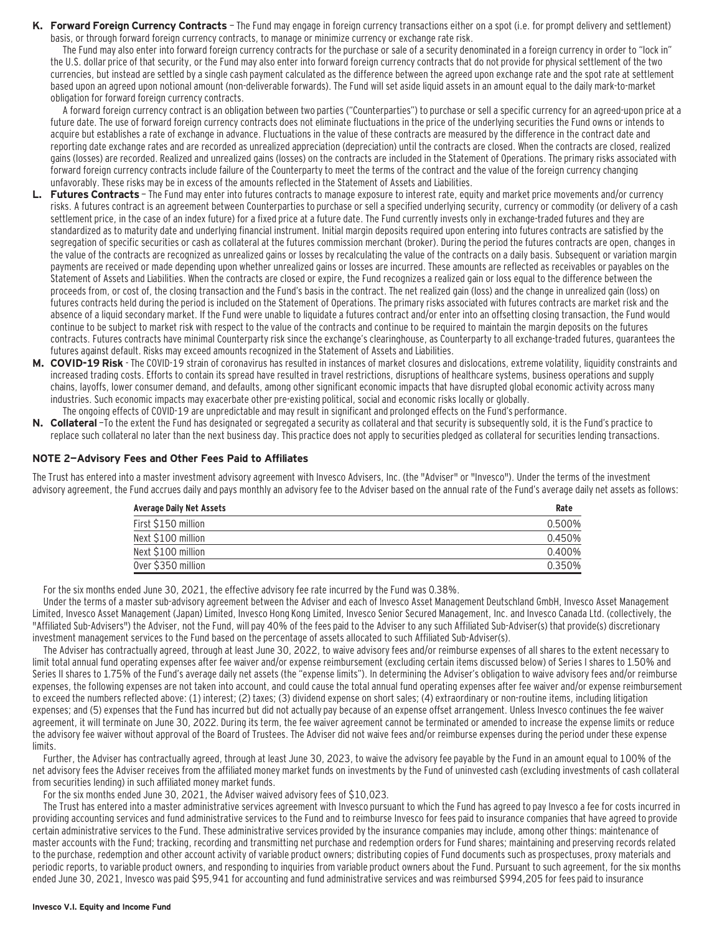**K. Forward Foreign Currency Contracts** — The Fund may engage in foreign currency transactions either on a spot (i.e. for prompt delivery and settlement) basis, or through forward foreign currency contracts, to manage or minimize currency or exchange rate risk.

The Fund may also enter into forward foreign currency contracts for the purchase or sale of a security denominated in a foreign currency in order to "lock in" the U.S. dollar price of that security, or the Fund may also enter into forward foreign currency contracts that do not provide for physical settlement of the two currencies, but instead are settled by a single cash payment calculated as the difference between the agreed upon exchange rate and the spot rate at settlement based upon an agreed upon notional amount (non-deliverable forwards). The Fund will set aside liquid assets in an amount equal to the daily mark-to-market obligation for forward foreign currency contracts.

A forward foreign currency contract is an obligation between two parties ("Counterparties") to purchase or sell a specific currency for an agreed-upon price at a future date. The use of forward foreign currency contracts does not eliminate fluctuations in the price of the underlying securities the Fund owns or intends to acquire but establishes a rate of exchange in advance. Fluctuations in the value of these contracts are measured by the difference in the contract date and reporting date exchange rates and are recorded as unrealized appreciation (depreciation) until the contracts are closed. When the contracts are closed, realized gains (losses) are recorded. Realized and unrealized gains (losses) on the contracts are included in the Statement of Operations. The primary risks associated with forward foreign currency contracts include failure of the Counterparty to meet the terms of the contract and the value of the foreign currency changing unfavorably. These risks may be in excess of the amounts reflected in the Statement of Assets and Liabilities.

- L. Futures Contracts The Fund may enter into futures contracts to manage exposure to interest rate, equity and market price movements and/or currency risks. A futures contract is an agreement between Counterparties to purchase or sell a specified underlying security, currency or commodity (or delivery of a cash settlement price, in the case of an index future) for a fixed price at a future date. The Fund currently invests only in exchange-traded futures and they are standardized as to maturity date and underlying financial instrument. Initial margin deposits required upon entering into futures contracts are satisfied by the segregation of specific securities or cash as collateral at the futures commission merchant (broker). During the period the futures contracts are open, changes in the value of the contracts are recognized as unrealized gains or losses by recalculating the value of the contracts on a daily basis. Subsequent or variation margin payments are received or made depending upon whether unrealized gains or losses are incurred. These amounts are reflected as receivables or payables on the Statement of Assets and Liabilities. When the contracts are closed or expire, the Fund recognizes a realized gain or loss equal to the difference between the proceeds from, or cost of, the closing transaction and the Fund's basis in the contract. The net realized gain (loss) and the change in unrealized gain (loss) on futures contracts held during the period is included on the Statement of Operations. The primary risks associated with futures contracts are market risk and the absence of a liquid secondary market. If the Fund were unable to liquidate a futures contract and/or enter into an offsetting closing transaction, the Fund would continue to be subject to market risk with respect to the value of the contracts and continue to be required to maintain the margin deposits on the futures contracts. Futures contracts have minimal Counterparty risk since the exchange's clearinghouse, as Counterparty to all exchange-traded futures, guarantees the futures against default. Risks may exceed amounts recognized in the Statement of Assets and Liabilities.
- **M. COVID-19 Risk**  The COVID-19 strain of coronavirus has resulted in instances of market closures and dislocations, extreme volatility, liquidity constraints and increased trading costs. Efforts to contain its spread have resulted in travel restrictions, disruptions of healthcare systems, business operations and supply chains, layoffs, lower consumer demand, and defaults, among other significant economic impacts that have disrupted global economic activity across many industries. Such economic impacts may exacerbate other pre-existing political, social and economic risks locally or globally. The ongoing effects of COVID-19 are unpredictable and may result in significant and prolonged effects on the Fund's performance.
- **N. Collateral** —To the extent the Fund has designated or segregated a security as collateral and that security is subsequently sold, it is the Fund's practice to replace such collateral no later than the next business day. This practice does not apply to securities pledged as collateral for securities lending transactions.

#### **NOTE 2—Advisory Fees and Other Fees Paid to Affiliates**

The Trust has entered into a master investment advisory agreement with Invesco Advisers, Inc. (the "Adviser" or "Invesco"). Under the terms of the investment advisory agreement, the Fund accrues daily and pays monthly an advisory fee to the Adviser based on the annual rate of the Fund's average daily net assets as follows:

| Average Daily Net Assets | Rate   |
|--------------------------|--------|
| First \$150 million      | 0.500% |
| Next \$100 million       | 0.450% |
| Next \$100 million       | 0.400% |
| Over \$350 million       | 0.350% |

For the six months ended June 30, 2021, the effective advisory fee rate incurred by the Fund was 0.38%.

Under the terms of a master sub-advisory agreement between the Adviser and each of Invesco Asset Management Deutschland GmbH, Invesco Asset Management Limited, Invesco Asset Management (Japan) Limited, Invesco Hong Kong Limited, Invesco Senior Secured Management, Inc. and Invesco Canada Ltd. (collectively, the "Affiliated Sub-Advisers") the Adviser, not the Fund, will pay 40% of the fees paid to the Adviser to any such Affiliated Sub-Adviser(s) that provide(s) discretionary investment management services to the Fund based on the percentage of assets allocated to such Affiliated Sub-Adviser(s).

The Adviser has contractually agreed, through at least June 30, 2022, to waive advisory fees and/or reimburse expenses of all shares to the extent necessary to limit total annual fund operating expenses after fee waiver and/or expense reimbursement (excluding certain items discussed below) of Series I shares to 1.50% and Series II shares to 1.75% of the Fund's average daily net assets (the "expense limits"). In determining the Adviser's obligation to waive advisory fees and/or reimburse expenses, the following expenses are not taken into account, and could cause the total annual fund operating expenses after fee waiver and/or expense reimbursement to exceed the numbers reflected above: (1) interest; (2) taxes; (3) dividend expense on short sales; (4) extraordinary or non-routine items, including litigation expenses; and (5) expenses that the Fund has incurred but did not actually pay because of an expense offset arrangement. Unless Invesco continues the fee waiver agreement, it will terminate on June 30, 2022. During its term, the fee waiver agreement cannot be terminated or amended to increase the expense limits or reduce the advisory fee waiver without approval of the Board of Trustees. The Adviser did not waive fees and/or reimburse expenses during the period under these expense limits.

Further, the Adviser has contractually agreed, through at least June 30, 2023, to waive the advisory fee payable by the Fund in an amount equal to 100% of the net advisory fees the Adviser receives from the affiliated money market funds on investments by the Fund of uninvested cash (excluding investments of cash collateral from securities lending) in such affiliated money market funds.

For the six months ended June 30, 2021, the Adviser waived advisory fees of \$10,023.

The Trust has entered into a master administrative services agreement with Invesco pursuant to which the Fund has agreed to pay Invesco a fee for costs incurred in providing accounting services and fund administrative services to the Fund and to reimburse Invesco for fees paid to insurance companies that have agreed to provide certain administrative services to the Fund. These administrative services provided by the insurance companies may include, among other things: maintenance of master accounts with the Fund; tracking, recording and transmitting net purchase and redemption orders for Fund shares; maintaining and preserving records related to the purchase, redemption and other account activity of variable product owners; distributing copies of Fund documents such as prospectuses, proxy materials and periodic reports, to variable product owners, and responding to inquiries from variable product owners about the Fund. Pursuant to such agreement, for the six months ended June 30, 2021, Invesco was paid \$95,941 for accounting and fund administrative services and was reimbursed \$994,205 for fees paid to insurance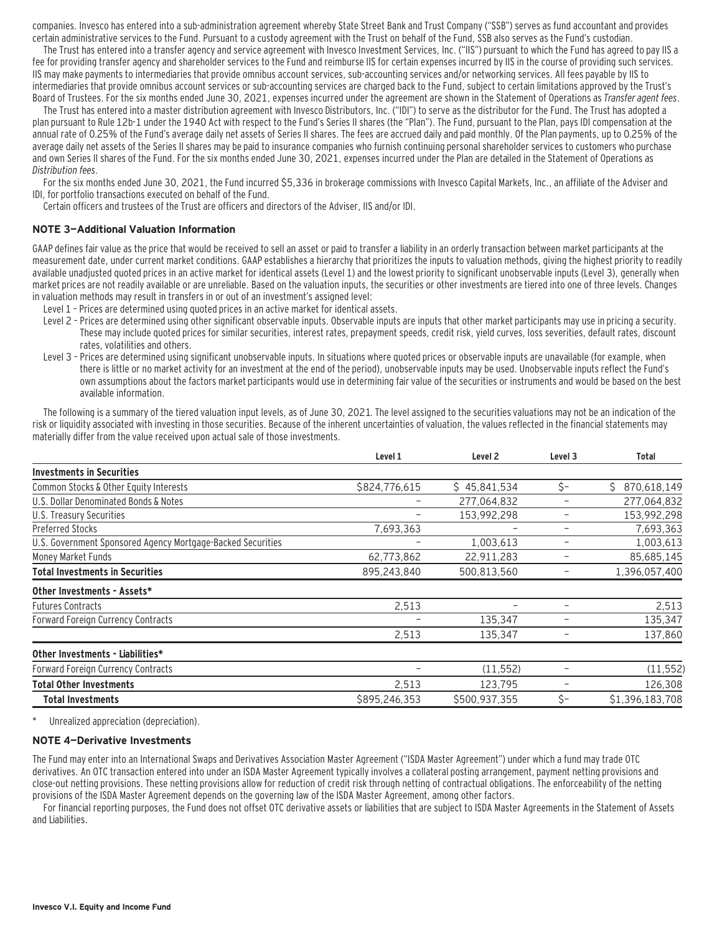companies. Invesco has entered into a sub-administration agreement whereby State Street Bank and Trust Company ("SSB") serves as fund accountant and provides certain administrative services to the Fund. Pursuant to a custody agreement with the Trust on behalf of the Fund, SSB also serves as the Fund's custodian.

The Trust has entered into a transfer agency and service agreement with Invesco Investment Services, Inc. ("IIS") pursuant to which the Fund has agreed to pay IIS a fee for providing transfer agency and shareholder services to the Fund and reimburse IIS for certain expenses incurred by IIS in the course of providing such services. IIS may make payments to intermediaries that provide omnibus account services, sub-accounting services and/or networking services. All fees payable by IIS to intermediaries that provide omnibus account services or sub-accounting services are charged back to the Fund, subject to certain limitations approved by the Trust's Board of Trustees. For the six months ended June 30, 2021, expenses incurred under the agreement are shown in the Statement of Operations as Transfer agent fees.

The Trust has entered into a master distribution agreement with Invesco Distributors, Inc. ("IDI") to serve as the distributor for the Fund. The Trust has adopted a plan pursuant to Rule 12b-1 under the 1940 Act with respect to the Fund's Series II shares (the "Plan"). The Fund, pursuant to the Plan, pays IDI compensation at the annual rate of 0.25% of the Fund's average daily net assets of Series II shares. The fees are accrued daily and paid monthly. Of the Plan payments, up to 0.25% of the average daily net assets of the Series II shares may be paid to insurance companies who furnish continuing personal shareholder services to customers who purchase and own Series II shares of the Fund. For the six months ended June 30, 2021, expenses incurred under the Plan are detailed in the Statement of Operations as Distribution fees.

For the six months ended June 30, 2021, the Fund incurred \$5,336 in brokerage commissions with Invesco Capital Markets, Inc., an affiliate of the Adviser and IDI, for portfolio transactions executed on behalf of the Fund.

Certain officers and trustees of the Trust are officers and directors of the Adviser, IIS and/or IDI.

#### **NOTE 3—Additional Valuation Information**

GAAP defines fair value as the price that would be received to sell an asset or paid to transfer a liability in an orderly transaction between market participants at the measurement date, under current market conditions. GAAP establishes a hierarchy that prioritizes the inputs to valuation methods, giving the highest priority to readily available unadjusted quoted prices in an active market for identical assets (Level 1) and the lowest priority to significant unobservable inputs (Level 3), generally when market prices are not readily available or are unreliable. Based on the valuation inputs, the securities or other investments are tiered into one of three levels. Changes in valuation methods may result in transfers in or out of an investment's assigned level:

- Level 1 Prices are determined using quoted prices in an active market for identical assets.
- Level 2 Prices are determined using other significant observable inputs. Observable inputs that other market participants may use in pricing a security. These may include quoted prices for similar securities, interest rates, prepayment speeds, credit risk, yield curves, loss severities, default rates, discount rates, volatilities and others.
- Level 3 Prices are determined using significant unobservable inputs. In situations where quoted prices or observable inputs are unavailable (for example, when there is little or no market activity for an investment at the end of the period), unobservable inputs may be used. Unobservable inputs reflect the Fund's own assumptions about the factors market participants would use in determining fair value of the securities or instruments and would be based on the best available information.

The following is a summary of the tiered valuation input levels, as of June 30, 2021. The level assigned to the securities valuations may not be an indication of the risk or liquidity associated with investing in those securities. Because of the inherent uncertainties of valuation, the values reflected in the financial statements may materially differ from the value received upon actual sale of those investments.

|                                                             | Level 1       | Level <sub>2</sub> | Level <sub>3</sub>       | Total             |
|-------------------------------------------------------------|---------------|--------------------|--------------------------|-------------------|
| <b>Investments in Securities</b>                            |               |                    |                          |                   |
| Common Stocks & Other Equity Interests                      | \$824,776,615 | \$45,841,534       | \$-                      | Ŝ.<br>870,618,149 |
| U.S. Dollar Denominated Bonds & Notes                       |               | 277,064,832        | $\overline{\phantom{0}}$ | 277,064,832       |
| U.S. Treasury Securities                                    | -             | 153,992,298        |                          | 153,992,298       |
| <b>Preferred Stocks</b>                                     | 7,693,363     |                    | -                        | 7,693,363         |
| U.S. Government Sponsored Agency Mortgage-Backed Securities |               | 1,003,613          | -                        | 1,003,613         |
| Money Market Funds                                          | 62,773,862    | 22,911,283         |                          | 85,685,145        |
| <b>Total Investments in Securities</b>                      | 895,243,840   | 500,813,560        |                          | 1,396,057,400     |
| Other Investments - Assets*                                 |               |                    |                          |                   |
| <b>Futures Contracts</b>                                    | 2,513         |                    |                          | 2,513             |
| <b>Forward Foreign Currency Contracts</b>                   |               | 135,347            |                          | 135,347           |
|                                                             | 2,513         | 135,347            |                          | 137,860           |
| Other Investments - Liabilities*                            |               |                    |                          |                   |
| <b>Forward Foreign Currency Contracts</b>                   |               | (11, 552)          |                          | (11, 552)         |
| <b>Total Other Investments</b>                              | 2,513         | 123,795            |                          | 126,308           |
| Total Investments                                           | \$895,246,353 | \$500,937,355      | Ś-                       | \$1,396,183,708   |

Unrealized appreciation (depreciation).

#### **NOTE 4—Derivative Investments**

The Fund may enter into an International Swaps and Derivatives Association Master Agreement ("ISDA Master Agreement") under which a fund may trade OTC derivatives. An OTC transaction entered into under an ISDA Master Agreement typically involves a collateral posting arrangement, payment netting provisions and close-out netting provisions. These netting provisions allow for reduction of credit risk through netting of contractual obligations. The enforceability of the netting provisions of the ISDA Master Agreement depends on the governing law of the ISDA Master Agreement, among other factors.

For financial reporting purposes, the Fund does not offset OTC derivative assets or liabilities that are subject to ISDA Master Agreements in the Statement of Assets and Liabilities.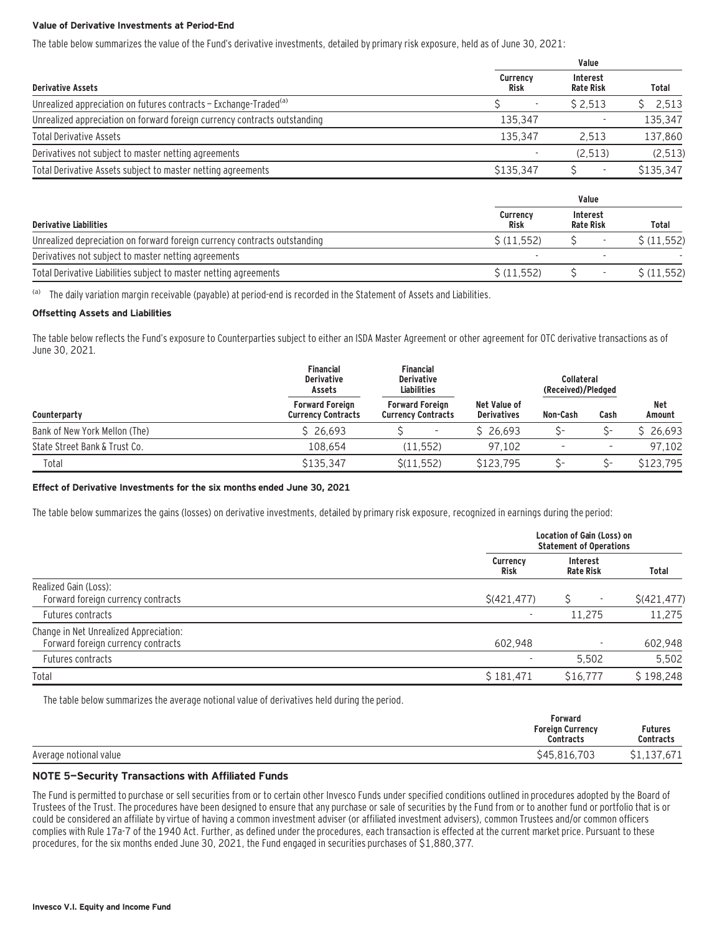#### **Value of Derivative Investments at Period-End**

The table below summarizes the value of the Fund's derivative investments, detailed by primary risk exposure, held as of June 30, 2021:

|                                | Value                        |              |
|--------------------------------|------------------------------|--------------|
| <b>Currency</b><br><b>Risk</b> | Interest<br><b>Rate Risk</b> | Total        |
|                                | \$2,513                      | 2,513<br>S.  |
| 135.347                        |                              | 135,347      |
| 135.347                        | 2.513                        | 137,860      |
|                                | (2, 513)                     | (2, 513)     |
| \$135,347                      | Ś<br>٠                       | \$135,347    |
|                                | Value                        |              |
| <b>Currency</b><br><b>Risk</b> | Interest<br><b>Rate Risk</b> | <b>Total</b> |
| \$(11, 552)                    |                              | \$(11.552)   |
|                                |                              |              |
|                                |                              |              |

Total Derivative Liabilities subject to master netting agreements  $\zeta(11,552)$   $\zeta = \zeta(11,552)$ 

<sup>(a)</sup> The daily variation margin receivable (payable) at period-end is recorded in the Statement of Assets and Liabilities.

#### **Offsetting Assets and Liabilities**

The table below reflects the Fund's exposure to Counterparties subject to either an ISDA Master Agreement or other agreement for OTC derivative transactions as of June 30, 2021.

|                               | <b>Financial</b><br><b>Derivative</b><br>Assets     | <b>Financial</b><br><b>Derivative</b><br><b>Liabilities</b> |                                    | <b>Collateral</b><br>(Received)/Pledged |                          |               |
|-------------------------------|-----------------------------------------------------|-------------------------------------------------------------|------------------------------------|-----------------------------------------|--------------------------|---------------|
| Counterparty                  | <b>Forward Foreign</b><br><b>Currency Contracts</b> | <b>Forward Foreign</b><br><b>Currency Contracts</b>         | Net Value of<br><b>Derivatives</b> | Non-Cash                                | Cash                     | Net<br>Amount |
| Bank of New York Mellon (The) | \$26.693                                            | $\overline{\phantom{a}}$                                    | \$26.693                           |                                         |                          | \$26,693      |
| State Street Bank & Trust Co. | 108.654                                             | (11.552)                                                    | 97.102                             |                                         | $\overline{\phantom{a}}$ | 97.102        |
| Total                         | \$135,347                                           | S(11.552)                                                   | \$123,795                          |                                         |                          | \$123,795     |

#### **Effect of Derivative Investments for the six months ended June 30, 2021**

The table below summarizes the gains (losses) on derivative investments, detailed by primary risk exposure, recognized in earnings during the period:

|                                                                              |                          | Location of Gain (Loss) on<br><b>Statement of Operations</b> |              |  |  |
|------------------------------------------------------------------------------|--------------------------|--------------------------------------------------------------|--------------|--|--|
|                                                                              | Currency<br><b>Risk</b>  | <b>Interest</b><br><b>Rate Risk</b>                          | Total        |  |  |
| Realized Gain (Loss):<br>Forward foreign currency contracts                  | \$(421, 477)             |                                                              | \$(421, 477) |  |  |
| Futures contracts                                                            | $\overline{\phantom{a}}$ | 11.275                                                       | 11,275       |  |  |
| Change in Net Unrealized Appreciation:<br>Forward foreign currency contracts | 602.948                  |                                                              | 602,948      |  |  |
| Futures contracts                                                            |                          | 5,502                                                        | 5,502        |  |  |
| Total                                                                        | \$181,471                | \$16,777                                                     | \$198.248    |  |  |

The table below summarizes the average notional value of derivatives held during the period.

|                        | Forward<br><b>Foreign Currency</b><br><b>Contracts</b> | <b>Futures</b><br><b>Contracts</b>     |
|------------------------|--------------------------------------------------------|----------------------------------------|
| Average notional value | \$45,816,703                                           | ,671<br>127<br>. <del>ل 1 .</del> بـ ب |

#### **NOTE 5—Security Transactions with Affiliated Funds**

The Fund is permitted to purchase or sell securities from or to certain other Invesco Funds under specified conditions outlined in procedures adopted by the Board of Trustees of the Trust. The procedures have been designed to ensure that any purchase or sale of securities by the Fund from or to another fund or portfolio that is or could be considered an affiliate by virtue of having a common investment adviser (or affiliated investment advisers), common Trustees and/or common officers complies with Rule 17a-7 of the 1940 Act. Further, as defined under the procedures, each transaction is effected at the current market price. Pursuant to these procedures, for the six months ended June 30, 2021, the Fund engaged in securities purchases of \$1,880,377.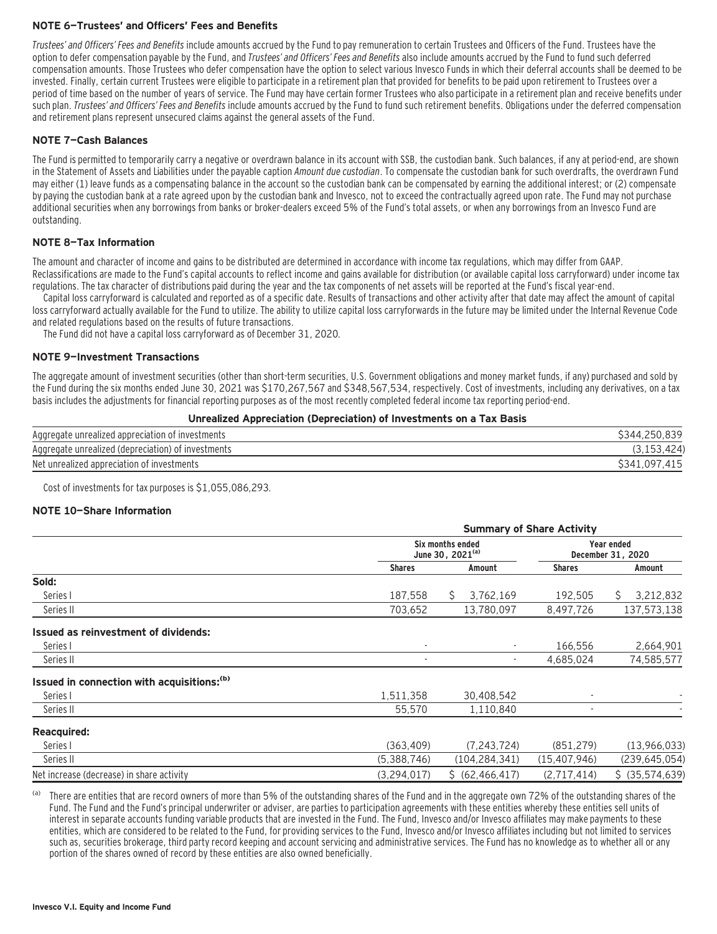#### **NOTE 6—Trustees' and Officers' Fees and Benefits**

Trustees' and Officers' Fees and Benefits include amounts accrued by the Fund to pay remuneration to certain Trustees and Officers of the Fund. Trustees have the option to defer compensation payable by the Fund, and Trustees' and Officers' Fees and Benefits also include amounts accrued by the Fund to fund such deferred compensation amounts. Those Trustees who defer compensation have the option to select various Invesco Funds in which their deferral accounts shall be deemed to be invested. Finally, certain current Trustees were eligible to participate in a retirement plan that provided for benefits to be paid upon retirement to Trustees over a period of time based on the number of years of service. The Fund may have certain former Trustees who also participate in a retirement plan and receive benefits under such plan. Trustees' and Officers' Fees and Benefits include amounts accrued by the Fund to fund such retirement benefits. Obligations under the deferred compensation and retirement plans represent unsecured claims against the general assets of the Fund.

#### **NOTE 7—Cash Balances**

The Fund is permitted to temporarily carry a negative or overdrawn balance in its account with SSB, the custodian bank. Such balances, if any at period-end, are shown in the Statement of Assets and Liabilities under the payable caption Amount due custodian. To compensate the custodian bank for such overdrafts, the overdrawn Fund may either (1) leave funds as a compensating balance in the account so the custodian bank can be compensated by earning the additional interest; or (2) compensate by paying the custodian bank at a rate agreed upon by the custodian bank and Invesco, not to exceed the contractually agreed upon rate. The Fund may not purchase additional securities when any borrowings from banks or broker-dealers exceed 5% of the Fund's total assets, or when any borrowings from an Invesco Fund are outstanding.

#### **NOTE 8—Tax Information**

The amount and character of income and gains to be distributed are determined in accordance with income tax regulations, which may differ from GAAP. Reclassifications are made to the Fund's capital accounts to reflect income and gains available for distribution (or available capital loss carryforward) under income tax regulations. The tax character of distributions paid during the year and the tax components of net assets will be reported at the Fund's fiscal year-end.

Capital loss carryforward is calculated and reported as of a specific date. Results of transactions and other activity after that date may affect the amount of capital loss carryforward actually available for the Fund to utilize. The ability to utilize capital loss carryforwards in the future may be limited under the Internal Revenue Code and related regulations based on the results of future transactions.

The Fund did not have a capital loss carryforward as of December 31, 2020.

#### **NOTE 9—Investment Transactions**

The aggregate amount of investment securities (other than short-term securities, U.S. Government obligations and money market funds, if any) purchased and sold by the Fund during the six months ended June 30, 2021 was \$170,267,567 and \$348,567,534, respectively. Cost of investments, including any derivatives, on a tax basis includes the adjustments for financial reporting purposes as of the most recently completed federal income tax reporting period-end.

|  | Unrealized Appreciation (Depreciation) of Investments on a Tax Basis |  |
|--|----------------------------------------------------------------------|--|
|  |                                                                      |  |

| Aggregate unrealized appreciation of investments   | \$344,250,839 |
|----------------------------------------------------|---------------|
| Aggregate unrealized (depreciation) of investments |               |
| Net unrealized appreciation of investments         | \$341.097.    |

Cost of investments for tax purposes is \$1,055,086,293.

#### **NOTE 10—Share Information**

|                                                        | <b>Summary of Share Activity</b>                 |                   |                                        |                  |
|--------------------------------------------------------|--------------------------------------------------|-------------------|----------------------------------------|------------------|
|                                                        | Six months ended<br>June 30, 2021 <sup>(a)</sup> |                   | <b>Year ended</b><br>December 31, 2020 |                  |
|                                                        | <b>Shares</b>                                    | Amount            | <b>Shares</b>                          | Amount           |
| Sold:                                                  |                                                  |                   |                                        |                  |
| Series I                                               | 187,558                                          | 3,762,169<br>S.   | 192.505                                | 3,212,832<br>S.  |
| Series II                                              | 703,652                                          | 13,780,097        | 8,497,726                              | 137,573,138      |
| <b>Issued as reinvestment of dividends:</b>            |                                                  |                   |                                        |                  |
| Series I                                               |                                                  | ٠                 | 166,556                                | 2,664,901        |
| Series II                                              |                                                  |                   | 4,685,024                              | 74,585,577       |
| Issued in connection with acquisitions: <sup>(b)</sup> |                                                  |                   |                                        |                  |
| Series I                                               | 1,511,358                                        | 30,408,542        |                                        |                  |
| Series II                                              | 55,570                                           | 1,110,840         |                                        |                  |
| <b>Reacquired:</b>                                     |                                                  |                   |                                        |                  |
| Series I                                               | (363, 409)                                       | (7, 243, 724)     | (851, 279)                             | (13,966,033)     |
| Series II                                              | (5,388,746)                                      | (104, 284, 341)   | (15, 407, 946)                         | (239, 645, 054)  |
| Net increase (decrease) in share activity              | (3, 294, 017)                                    | \$ (62, 466, 417) | (2,717,414)                            | $$$ (35,574,639) |

There are entities that are record owners of more than 5% of the outstanding shares of the Fund and in the aggregate own 72% of the outstanding shares of the Fund. The Fund and the Fund's principal underwriter or adviser, are parties to participation agreements with these entities whereby these entities sell units of interest in separate accounts funding variable products that are invested in the Fund. The Fund, Invesco and/or Invesco affiliates may make payments to these entities, which are considered to be related to the Fund, for providing services to the Fund, Invesco and/or Invesco affiliates including but not limited to services such as, securities brokerage, third party record keeping and account servicing and administrative services. The Fund has no knowledge as to whether all or any portion of the shares owned of record by these entities are also owned beneficially.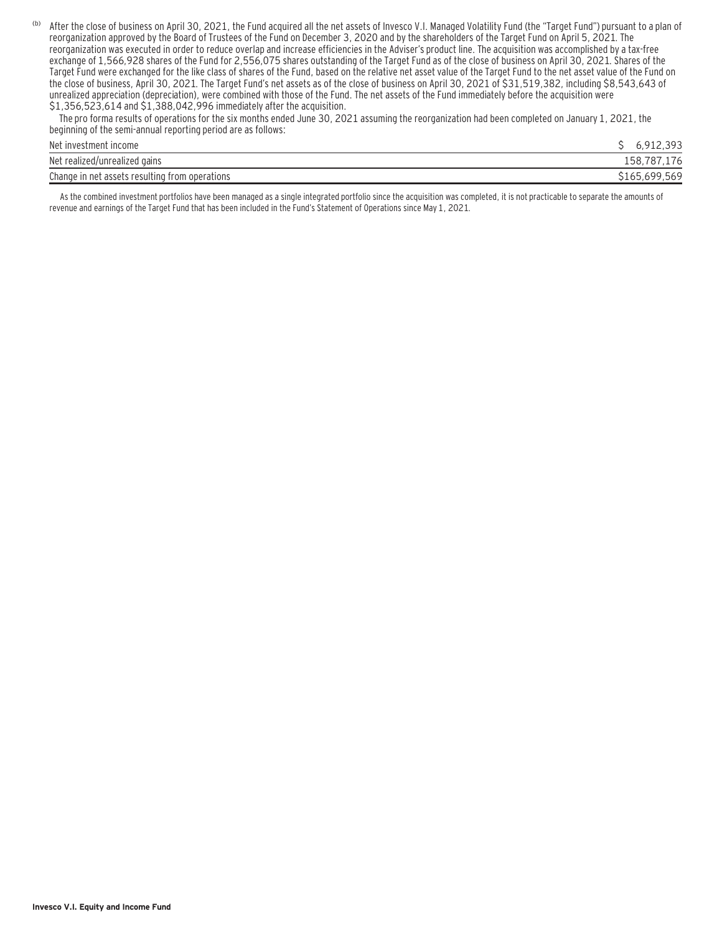(b) After the close of business on April 30, 2021, the Fund acquired all the net assets of Invesco V.I. Managed Volatility Fund (the "Target Fund") pursuant to a plan of reorganization approved by the Board of Trustees of the Fund on December 3, 2020 and by the shareholders of the Target Fund on April 5, 2021. The reorganization was executed in order to reduce overlap and increase efficiencies in the Adviser's product line. The acquisition was accomplished by a tax-free exchange of 1,566,928 shares of the Fund for 2,556,075 shares outstanding of the Target Fund as of the close of business on April 30, 2021. Shares of the Target Fund were exchanged for the like class of shares of the Fund, based on the relative net asset value of the Target Fund to the net asset value of the Fund on the close of business, April 30, 2021. The Target Fund's net assets as of the close of business on April 30, 2021 of \$31,519,382, including \$8,543,643 of unrealized appreciation (depreciation), were combined with those of the Fund. The net assets of the Fund immediately before the acquisition were \$1,356,523,614 and \$1,388,042,996 immediately after the acquisition.

 The pro forma results of operations for the six months ended June 30, 2021 assuming the reorganization had been completed on January 1, 2021, the beginning of the semi-annual reporting period are as follows:

| Net investment income                          | $\sim$ $\sim$ $\sim$ |
|------------------------------------------------|----------------------|
| Net realized/unrealized gains                  | 158.7<br>72          |
| Change in net assets resulting from operations |                      |

As the combined investment portfolios have been managed as a single integrated portfolio since the acquisition was completed, it is not practicable to separate the amounts of revenue and earnings of the Target Fund that has been included in the Fund's Statement of Operations since May 1, 2021.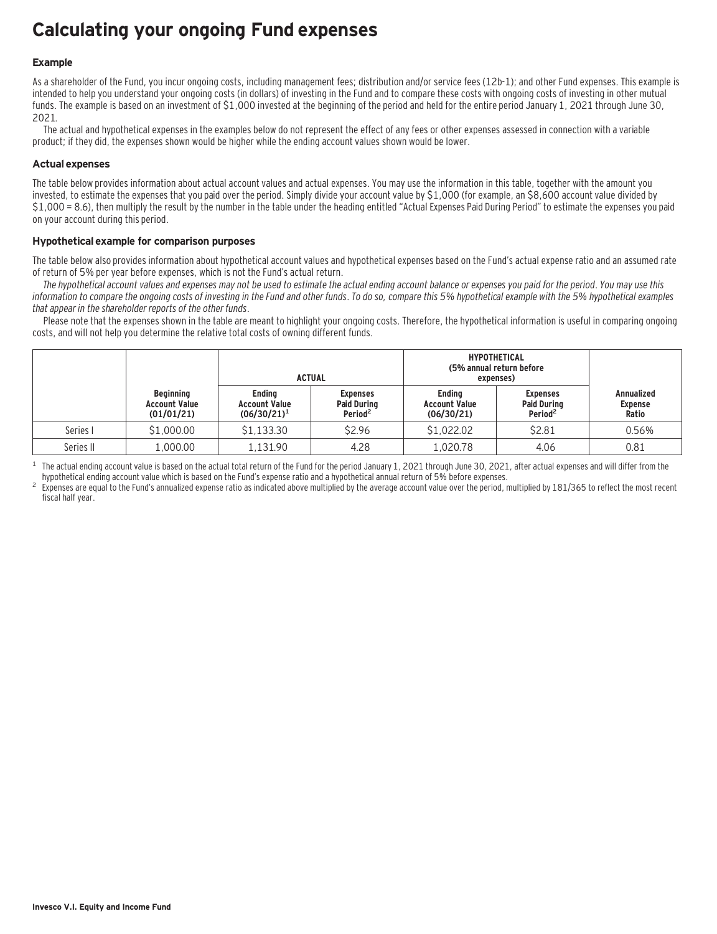## **Calculating your ongoing Fund expenses**

#### **Example**

As a shareholder of the Fund, you incur ongoing costs, including management fees; distribution and/or service fees (12b-1); and other Fund expenses. This example is intended to help you understand your ongoing costs (in dollars) of investing in the Fund and to compare these costs with ongoing costs of investing in other mutual funds. The example is based on an investment of \$1,000 invested at the beginning of the period and held for the entire period January 1, 2021 through June 30, 2021.

The actual and hypothetical expenses in the examples below do not represent the effect of any fees or other expenses assessed in connection with a variable product; if they did, the expenses shown would be higher while the ending account values shown would be lower.

#### **Actual expenses**

The table below provides information about actual account values and actual expenses. You may use the information in this table, together with the amount you invested, to estimate the expenses that you paid over the period. Simply divide your account value by \$1,000 (for example, an \$8,600 account value divided by \$1,000 = 8.6), then multiply the result by the number in the table under the heading entitled "Actual Expenses Paid During Period" to estimate the expenses you paid on your account during this period.

#### **Hypothetical example for comparison purposes**

The table below also provides information about hypothetical account values and hypothetical expenses based on the Fund's actual expense ratio and an assumed rate of return of 5% per year before expenses, which is not the Fund's actual return.

The hypothetical account values and expenses may not be used to estimate the actual ending account balance or expenses you paid for the period. You may use this information to compare the ongoing costs of investing in the Fund and other funds. To do so, compare this 5% hypothetical example with the 5% hypothetical examples that appear in the shareholder reports of the other funds.

Please note that the expenses shown in the table are meant to highlight your ongoing costs. Therefore, the hypothetical information is useful in comparing ongoing costs, and will not help you determine the relative total costs of owning different funds.

|           |                                                        | <b>ACTUAL</b>                                           |                                                              | <b>HYPOTHETICAL</b><br>(5% annual return before<br>expenses) |                                                              |                                              |
|-----------|--------------------------------------------------------|---------------------------------------------------------|--------------------------------------------------------------|--------------------------------------------------------------|--------------------------------------------------------------|----------------------------------------------|
|           | <b>Beginning</b><br><b>Account Value</b><br>(01/01/21) | <b>Endina</b><br><b>Account Value</b><br>$(06/30/21)^1$ | <b>Expenses</b><br><b>Paid During</b><br>Period <sup>2</sup> | <b>Endina</b><br><b>Account Value</b><br>(06/30/21)          | <b>Expenses</b><br><b>Paid During</b><br>Period <sup>2</sup> | <b>Annualized</b><br><b>Expense</b><br>Ratio |
| Series I  | \$1,000.00                                             | \$1.133.30                                              | \$2.96                                                       | \$1,022.02                                                   | \$2.81                                                       | 0.56%                                        |
| Series II | 1,000.00                                               | 1.131.90                                                | 4.28                                                         | 1.020.78                                                     | 4.06                                                         | 0.81                                         |

<sup>1</sup> The actual ending account value is based on the actual total return of the Fund for the period January 1, 2021 through June 30, 2021, after actual expenses and will differ from the hund's expense ratio and a hypothetic

Expenses are equal to the Fund's annualized expense ratio as indicated above multiplied by the average account value over the period, multiplied by 181/365 to reflect the most recent fiscal half year.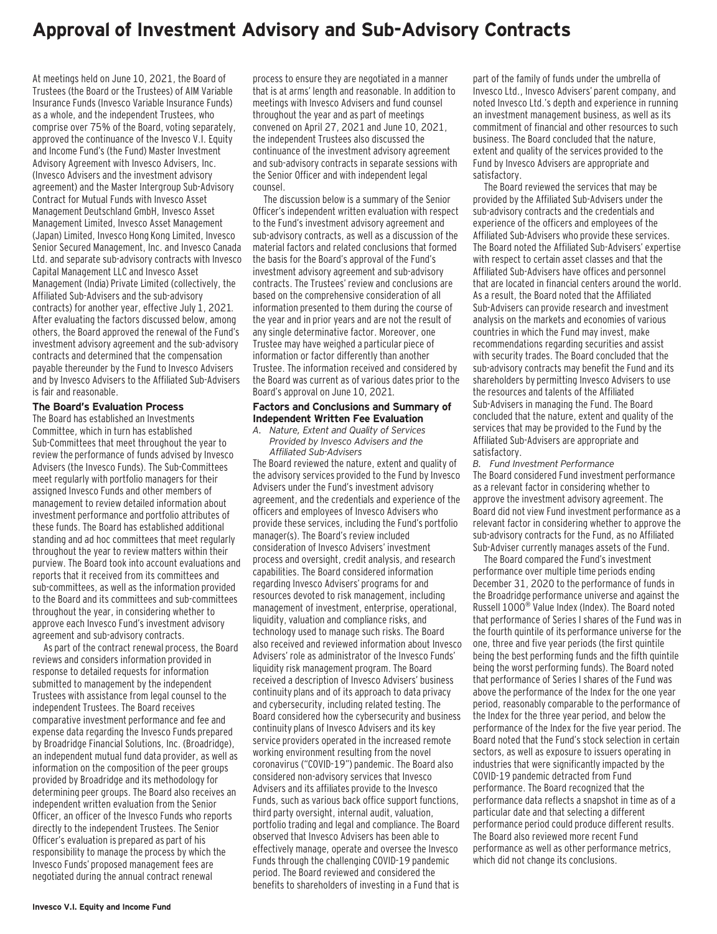### **Approval of Investment Advisory and Sub-Advisory Contracts**

At meetings held on June 10, 2021, the Board of Trustees (the Board or the Trustees) of AIM Variable Insurance Funds (Invesco Variable Insurance Funds) as a whole, and the independent Trustees, who comprise over 75% of the Board, voting separately, approved the continuance of the Invesco V.I. Equity and Income Fund's (the Fund) Master Investment Advisory Agreement with Invesco Advisers, Inc. (Invesco Advisers and the investment advisory agreement) and the Master Intergroup Sub-Advisory Contract for Mutual Funds with Invesco Asset Management Deutschland GmbH, Invesco Asset Management Limited, Invesco Asset Management (Japan) Limited, Invesco Hong Kong Limited, Invesco Senior Secured Management, Inc. and Invesco Canada Ltd. and separate sub-advisory contracts with Invesco Capital Management LLC and Invesco Asset Management (India) Private Limited (collectively, the Affiliated Sub-Advisers and the sub-advisory contracts) for another year, effective July 1, 2021. After evaluating the factors discussed below, among others, the Board approved the renewal of the Fund's investment advisory agreement and the sub-advisory contracts and determined that the compensation payable thereunder by the Fund to Invesco Advisers and by Invesco Advisers to the Affiliated Sub-Advisers is fair and reasonable.

#### **The Board's Evaluation Process**

The Board has established an Investments Committee, which in turn has established Sub-Committees that meet throughout the year to review the performance of funds advised by Invesco Advisers (the Invesco Funds). The Sub-Committees meet regularly with portfolio managers for their assigned Invesco Funds and other members of management to review detailed information about investment performance and portfolio attributes of these funds. The Board has established additional standing and ad hoc committees that meet regularly throughout the year to review matters within their purview. The Board took into account evaluations and reports that it received from its committees and sub-committees, as well as the information provided to the Board and its committees and sub-committees throughout the year, in considering whether to approve each Invesco Fund's investment advisory agreement and sub-advisory contracts.

As part of the contract renewal process, the Board reviews and considers information provided in response to detailed requests for information submitted to management by the independent Trustees with assistance from legal counsel to the independent Trustees. The Board receives comparative investment performance and fee and expense data regarding the Invesco Funds prepared by Broadridge Financial Solutions, Inc. (Broadridge), an independent mutual fund data provider, as well as information on the composition of the peer groups provided by Broadridge and its methodology for determining peer groups. The Board also receives an independent written evaluation from the Senior Officer, an officer of the Invesco Funds who reports directly to the independent Trustees. The Senior Officer's evaluation is prepared as part of his responsibility to manage the process by which the Invesco Funds' proposed management fees are negotiated during the annual contract renewal

process to ensure they are negotiated in a manner that is at arms' length and reasonable. In addition to meetings with Invesco Advisers and fund counsel throughout the year and as part of meetings convened on April 27, 2021 and June 10, 2021, the independent Trustees also discussed the continuance of the investment advisory agreement and sub-advisory contracts in separate sessions with the Senior Officer and with independent legal counsel.

The discussion below is a summary of the Senior Officer's independent written evaluation with respect to the Fund's investment advisory agreement and sub-advisory contracts, as well as a discussion of the material factors and related conclusions that formed the basis for the Board's approval of the Fund's investment advisory agreement and sub-advisory contracts. The Trustees' review and conclusions are based on the comprehensive consideration of all information presented to them during the course of the year and in prior years and are not the result of any single determinative factor. Moreover, one Trustee may have weighed a particular piece of information or factor differently than another Trustee. The information received and considered by the Board was current as of various dates prior to the Board's approval on June 10, 2021.

#### **Factors and Conclusions and Summary of Independent Written Fee Evaluation**

*A. Nature, Extent and Quality of Services Provided by Invesco Advisers and the Affiliated Sub-Advisers*

The Board reviewed the nature, extent and quality of the advisory services provided to the Fund by Invesco Advisers under the Fund's investment advisory agreement, and the credentials and experience of the officers and employees of Invesco Advisers who provide these services, including the Fund's portfolio manager(s). The Board's review included consideration of Invesco Advisers' investment process and oversight, credit analysis, and research capabilities. The Board considered information regarding Invesco Advisers' programs for and resources devoted to risk management, including management of investment, enterprise, operational, liquidity, valuation and compliance risks, and technology used to manage such risks. The Board also received and reviewed information about Invesco Advisers' role as administrator of the Invesco Funds' liquidity risk management program. The Board received a description of Invesco Advisers' business continuity plans and of its approach to data privacy and cybersecurity, including related testing. The Board considered how the cybersecurity and business continuity plans of Invesco Advisers and its key service providers operated in the increased remote working environment resulting from the novel coronavirus ("COVID-19") pandemic. The Board also considered non-advisory services that Invesco Advisers and its affiliates provide to the Invesco Funds, such as various back office support functions, third party oversight, internal audit, valuation, portfolio trading and legal and compliance. The Board observed that Invesco Advisers has been able to effectively manage, operate and oversee the Invesco Funds through the challenging COVID-19 pandemic period. The Board reviewed and considered the benefits to shareholders of investing in a Fund that is

part of the family of funds under the umbrella of Invesco Ltd., Invesco Advisers' parent company, and noted Invesco Ltd.'s depth and experience in running an investment management business, as well as its commitment of financial and other resources to such business. The Board concluded that the nature, extent and quality of the services provided to the Fund by Invesco Advisers are appropriate and satisfactory.

The Board reviewed the services that may be provided by the Affiliated Sub-Advisers under the sub-advisory contracts and the credentials and experience of the officers and employees of the Affiliated Sub-Advisers who provide these services. The Board noted the Affiliated Sub-Advisers' expertise with respect to certain asset classes and that the Affiliated Sub-Advisers have offices and personnel that are located in financial centers around the world. As a result, the Board noted that the Affiliated Sub-Advisers can provide research and investment analysis on the markets and economies of various countries in which the Fund may invest, make recommendations regarding securities and assist with security trades. The Board concluded that the sub-advisory contracts may benefit the Fund and its shareholders by permitting Invesco Advisers to use the resources and talents of the Affiliated Sub-Advisers in managing the Fund. The Board concluded that the nature, extent and quality of the services that may be provided to the Fund by the Affiliated Sub-Advisers are appropriate and satisfactory.

*B. Fund Investment Performance* The Board considered Fund investment performance as a relevant factor in considering whether to approve the investment advisory agreement. The Board did not view Fund investment performance as a relevant factor in considering whether to approve the sub-advisory contracts for the Fund, as no Affiliated Sub-Adviser currently manages assets of the Fund.

The Board compared the Fund's investment performance over multiple time periods ending December 31, 2020 to the performance of funds in the Broadridge performance universe and against the Russell 1000® Value Index (Index). The Board noted that performance of Series I shares of the Fund was in the fourth quintile of its performance universe for the one, three and five year periods (the first quintile being the best performing funds and the fifth quintile being the worst performing funds). The Board noted that performance of Series I shares of the Fund was above the performance of the Index for the one year period, reasonably comparable to the performance of the Index for the three year period, and below the performance of the Index for the five year period. The Board noted that the Fund's stock selection in certain sectors, as well as exposure to issuers operating in industries that were significantly impacted by the COVID-19 pandemic detracted from Fund performance. The Board recognized that the performance data reflects a snapshot in time as of a particular date and that selecting a different performance period could produce different results. The Board also reviewed more recent Fund performance as well as other performance metrics, which did not change its conclusions.